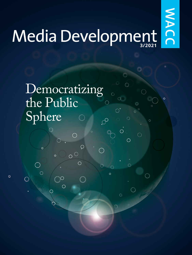# Media Development

NACC

 $\circ$ 

 $\circ$  $\overline{O}$ 

 $\bigcap$ 

 $\circ$ 

 $\bigcirc$ 

 $\bigcirc$ 

 $\bigcirc$ 

◠

 $\bigcirc$ 

 $\circ$ 

 $\circ$ 

## Democratizing the Public Sphere $\mathcal{O}$

 $\overline{\Omega}$ 

 $\overline{O}$ 

 $\circ$ 

 $\circ$ 

 $\bigcirc$ 

 $\bigcirc$ 

◯

 $\bigcirc$ 

 $\bigcap$ 

 $\circ$ 

 $\bigcirc$ 

 $\bigcirc$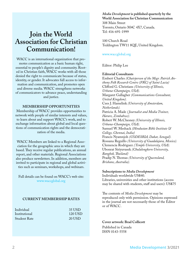### **Join the World Association for Christian Communication!**

WACC is an international organization that promotes communication as a basic human right, essential to people's dignity and community. Rooted in Christian faith, WACC works with all those denied the right to communicate because of status, identity, or gender. It advocates full access to information and communication, and promotes open and diverse media. WACC strengthens networks of communicators to advance peace, understanding and justice.

#### **MEMBERSHIP OPPORTUNITIES**

Membership of WACC provides opportunities to network with people of similar interests and values, to learn about and support WACC's work, and to exchange information about global and local questions of communication rights and the democratization of the media.

WACC Members are linked to a Regional Association for the geographic area in which they are based. They receive regular publications, an annual report, and other materials. Regional Associations also produce newsletters. In addition, members are invited to participate in regional and global activities such as seminars, workshops, and webinars.

Full details can be found on WACC's web site: [www.waccglobal.org](http://www.waccglobal.org)

#### **CURRENT MEMBERSHIP RATES**

| Individual          | 35 USD  |
|---------------------|---------|
| Institutional       | 120 USD |
| <b>Student Rate</b> | 20 USD  |

*Media Development* **is published quarterly by the World Association for Christian Communication** 308 Main Street Toronto, Ontario M4C 4X7, Canada. Tel: 416-691-1999

100 Church Road Teddington TW11 8QE, United Kingdom.

#### [www.waccglobal.org](http://www.waccglobal.org)

Editor: Philip Lee

#### **Editorial Consultants**

Embert Charles *(Chairperson of the Msgr. Patrick Anthony Folk Research Centre (FRC) of Saint Lucia)* Clifford G. Christians *(University of Illinois, Urbana-Champaign, USA).* Margaret Gallagher *(Communications Consultant, United Kingdom).* Cees J. Hamelink *(University of Amsterdam, Netherlands).* Patricia A. Made *( Journalist and Media Trainer, Harare, Zimbabwe).* Robert W. McChesney *(University of Illinois, Urbana-Champaign, USA).* Samuel W. Meshack *(Hindustan Bible Institute & College, Chennai, India)* Francis Nyamnjoh *(CODESRIA, Dakar, Senegal).* Rossana Reguillo *(University of Guadalajara, Mexico).* Clemencia Rodriguez *(Temple University, USA).* Ubonrat Siriyuvasek *(Chulalongkorn University, Bangkok, Thailand)* Pradip N. Thomas *(University of Queensland, Brisbane, Australia).*

#### **Subscriptions to** *Media Development* Individuals worldwide US\$40.

Libraries, universities and other institutions (access may be shared with students, staff and users): US\$75

The contents of *Media Development* may be reproduced only with permission. Opinions expressed in the journal are not necessarily those of the Editor or of WACC.

#### **Cover artwork: Brad Collicott**

Published in Canada ISSN 0143-5558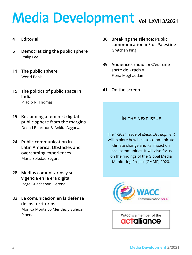## <span id="page-2-0"></span>**Vol. LXVII 3/2021**

#### **4 [Editorial](#page-3-0)**

- **6 [Democratizing the public sphere](#page-5-0)** [Philip Lee](#page-5-0)
- **11 [The public sphere](#page-10-0)** [World Bank](#page-10-0)
- **15 [The politics of public space in](#page-14-0)  [India](#page-14-0)** [Pradip N. Thomas](#page-14-0)
- **19 [Reclaiming a feminist digital](#page-18-0)  [public sphere from the margins](#page-18-0)** [Deepti Bharthur & Ankita Aggarwal](#page-18-0)
- **24 [Public communication in](#page-23-0)  [Latin America: Obstacles and](#page-23-0)  [overcoming experiences](#page-23-0)** [María Soledad Segura](#page-23-0)
- **28 [Medios comunitarios y su](#page-27-0)  [vigencia en la era digital](#page-27-0)**  [Jorge Guachamín Llerena](#page-27-0)

**32 [La comunicación en la defensa](#page-31-0)  [de los territorios](#page-31-0)** [Monica Montalvo Mendez y Suleica](#page-31-0)  [Pineda](#page-31-0)

- **36 [Breaking the silence: Public](#page-35-0)  [communication in/for Palestine](#page-35-0)**  [Gretchen King](#page-35-0)
- **[39 Audiences](#page-38-0) radio : « C'est une sorte de [krach »](#page-38-0)** [Fiona Moghaddam](#page-38-0)
- **41 [On the screen](#page-40-0)**

#### **In the next issue**

The 4/2021 issue of *Media Development* will explore how best to communicate climate change and its impact on local communities. It will also focus on the findings of the Global Media Monitoring Project (GMMP) 2020.



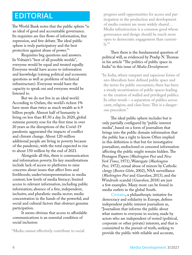## <span id="page-3-0"></span>**EDITORIAL**

The World Bank notes that the public sphere "is an ideal of good and accountable governance. Its requisites are free flows of information, free expression, and free debate. The ideal public sphere is truly participatory and the best protection against abuse of power."1

Requisites beg questions and answers. In Voltaire's "best of all possible worlds", everyone would be equal and treated equally. Everyone would have access to information and knowledge (raising political and economic questions as well as problems of technical infrastructure). Everyone would have the capacity to speak out and everyone would be listened to.

But we do not live in an ideal world. According to Oxfam, the world's richest 1% have more than twice as much wealth as 6.9 billion people. Almost half of humanity is living on less than \$5.50 a day. In 2020, global extreme poverty rose for the first time in over 20 years as the disruptions of the Covid-19 pandemic aggravated the impacts of conflict and climate change. About 120 million additional people are living in poverty because of the pandemic, with the total expected to rise to about 150 million by the end of 2021.

Alongside all this, there is communication and information poverty. Its key manifestations include lack of access to platforms to raise concerns about issues that affect lives and livelihoods; under/misrepresentation in media content; low levels of media literacy; limited access to relevant information, including public information; absence of a free, independent, inclusive, and pluralistic media sector; media concentration in the hands of the powerful; and social and cultural factors that obstruct genuine participation.

It seems obvious that access to affordable communications is an essential condition of social inclusion:

"Media cannot effectively contribute to social

progress until opportunities for access and participation in the production and development of media content are more widely shared… Media infrastructure is a common good whose governance and design should be much more open to democratic engagement than current- $\mathrm{lv.}$ "2

#### Then there is the fundamental question of political will, as evidenced by Pradip N. Thomas in his article "The politics of public space in India" in this issue of *Media Development*:

"In India, where rampant and rapacious forms of neo-liberalism have defined public space and the terms for public encounters, there has been a steady securitisation of public spaces leading to the creation of walled and privileged publics. In other words – a separation of publics across caste, religion, and class lines. This is a dangerous precedent."

The ideal public sphere includes but is only partially configured by "public interest media", based on a form of journalism that brings into the public domain information that the public has a right to know. Often implied in this definition is that but for investigative journalism, undisclosed or censored information affecting the public might remain hidden. The Pentagon Papers (*Washington Post* and *New York Times*, 1971), Watergate (*Washington Post,* 1972), sexual abuse of minors by Catholic clergy (*Boston Globe*, 2002), NSA surveillance (*Washington Post* and *Guardian*, 2013), and the Windrush scandal (*Guardian*, 2018) are just a few examples. Many more can be found in media outlets in the global South.

[Civitates,](https://civitates-eu.org/independent-public-interest-journalism/) a philanthropic initiative for democracy and solidarity in Europe, defines independent public interest journalism as, "Journalism that informs the public about what matters to everyone in society, made by actors who are independent of vested (political, corporate or other private) interests, and that is committed to the pursuit of truth, seeking to provide the public with reliable and accurate,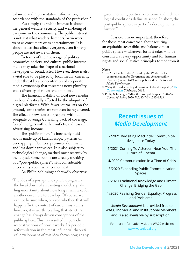balanced and representative information, in accordance with the standards of the profession."

Put simply, the public interest is about the general welfare, security, and well-being of everyone in the community. The public interest is not just what readers, listeners, or viewers want as consumers or as entertainment. It is about issues that affect everyone, even if many people are not aware of them.

In terms of their coverage of politics, economics, society, and culture, public interest media may take the shape of a national newspaper or broadcaster. However, there is also a vital role to be played by local media, currently under threat by a concentration of corporate media ownership that threatens news plurality and a diversity of voices and opinions.

The financial viability of local news media has been drastically affected by the ubiquity of digital platforms. With fewer journalists on the ground, some stories are not even being covered. The effect is news deserts (regions without adequate coverage); a scaling back of coverage; forced mergers with other outlets; and loss of advertising income.

The "public sphere" is inevitably fluid and is made up of kaleidoscopic patterns of overlapping influences, pressures, dominant and less dominant voices. It is also subject to technological change, marked most recently by the digital. Some people are already speaking of a "post-public sphere", with considerable uncertainty about what comes next.

#### As Philip Schlesinger shrewdly observes:

"The idea of a post-public sphere designates the breakdown of an existing model, signalling uncertainty about how long it will take for another ensemble to develop. Of course, we cannot be sure when, or even whether, that will happen. In the context of current instability, however, it is worth recalling that structural change has always driven conceptions of the public sphere. This has resulted in periodic reconstructions of how it works. Its periodic reformulation in the most influential theoretical development of this idea shows how, at any

given moment, political, economic and technological conditions define its scope. In short, the post-public sphere is part of a developmental history."3

It is even more important, therefore, for those most concerned about securing an equitable, accessible, and balanced postpublic sphere – whatever form it takes – to be consulted at every opportunity and for human rights and social justice principles to underpin it.

#### **Notes**

- 1. See "The Public Sphere" issued by the World Bank's communication for Governance and Accountability Program (commGAP) and republished in this issue of *Media Development.*
- 2. "Why the media is a key dimension of global inequality." [The](https://theconversation.com/why-the-media-is-a-key-dimension-of-global-inequality-69084)  [Conversation](https://theconversation.com/why-the-media-is-a-key-dimension-of-global-inequality-69084). 7 February 2018.
- 3. Philip Schlesinger. "After the post-public sphere". *Media, Culture & Society* 2020, Vol. 42(7-8) 1545–1563.

#### **Recent issues of** *Media Development*

- 2/2021 Revisiting MacBride: Communicative Justice Today
- 1/2021 Coming To A Screen Near You: The Future of Cinema
- 4/2020 Communication in a Time of Crisis
- 3/2020 Expanding Public Communication Spaces
- 2/2020 Traditional Knowledge and Climate Change: Bridging the Gap
- 1/2020 Realising Gender Equality: Progress and Problems

*Media Development* is provided free to WACC Individual and Institutional Members and is also available by subscription.

For more information visit the WACC website: [www.waccglobal.org](http://www.waccglobal.org)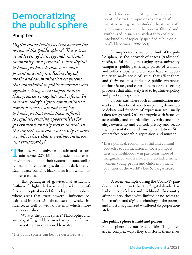## <span id="page-5-0"></span>**Democratizing the public sphere**

#### **Philip Lee**

*Digital connectivity has transformed the notion of the "public sphere". This is true at all levels: global, regional, national, community, and personal, where digital technologies have become ever more present and integral. Before digital, media and communication ecosystems that contributed to public awareness and agenda-setting were simpler and, in theory, easier to regulate and reform. In contrast, today's digital communication domains revolve around complex technologies that make them difficult to regulate, creating opportunities for governments and big tech to control. In this context, how can civil society reclaim a public sphere that is credible, inclusive, and trustworthy?*

The observable universe is estimated to con-<br>tain some 225 billion galaxies that exert<br>gravitational pull on their systems of stars stellar tain some 225 billion galaxies that exert gravitational pull on their systems of stars, stellar remnants, interstellar gas, dust, and dark matter. Each galaxy contains black holes from which no matter escapes.

This paradigm of gravitational attraction (influence), light, darkness, and black holes, offers a conceptual model for today's public sphere, where areas that exert powerful influence coexist and interact with those exerting weaker influence, as well as with those into which information vanishes.

What is the public sphere? Philosopher and sociologist Jürgen Habermas has spent a lifetime interrogating this question. He writes:

network for communicating information and points of view (i.e., opinions expressing affirmative or negative attitudes); the streams of communication are, in the process, filtered and synthesized in such a way that they coalesce into bundles of topically specified public opinions" (Habermas, 1996: 360).

In simpler terms, we could think of the public sphere as the network of spaces (traditional media, social media, messaging apps, university campuses, public gatherings, places of worship, and coffee shops) where citizens have an opportunity to make sense of issues that affect them and their societies, influence public awareness of those issues, and contribute to agenda-setting processes that ultimately lead to legislative, policy, and practical responses.

In contexts where such communication networks are functional and transparent, democratic debate and freedom of expression are usually taken for granted. Others struggle with issues of accessibility and affordability, diversity and plurality, ownership and control, privacy and security, representation, and misrepresentation. Still others face censorship, repression, and murder.

"These political, economic, social and cultural obstacles to full inclusion in society impact lives and livelihoods – in particular those of marginalized, underserved and excluded men, women, young people and children in many countries of the world" (Lee & Vargas, 2020: 1).

A recent example during the Covid-19 pandemic is the impact that the "digital divide" has had on people's lives and livelihoods. In country after country, those with limited or no access to information and digital technology – the poorest and most marginalized – suffered disproportionately.

#### **The public sphere is fluid and porous**

Public spheres are not fixed entities. They interact in complex ways; they transform themselves

<sup>&</sup>quot;The public sphere can best be described as a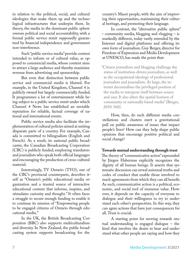in relation to the political, social, and cultural ideologies that make them up and the technological infrastructures that underpin them. In theory, the media in the dominant public sphere oversee political and social accountability, with a formal public service remit supposedly guaranteed by financial independence and government non-interference.

Such "public service media" provide content intended to inform or of cultural value, as opposed to commercial media, whose content aims to attract a large audience and thereby maximize revenue from advertising and sponsorship.

But even that distinction between public service and commercial media is blurred. For example, in the United Kingdom, Channel 4 is publicly owned but largely commercially funded. It programmes a lot of entertainment while being subject to a public service remit under which Channel 4 News has established an enviable reputation for reliable, factual coverage of national and international events.

Public service media also facilitate the implementation of cultural policies aimed at uniting disparate parts of a country. For example, Canada is committed to bilingualism (English and French). As a result, its national public broadcaster, the Canadian Broadcasting Corporation (CBC) is publicly funded, employing translators and journalists who speak both official languages and encouraging the production of cross-cultural material.

Interestingly, TV Ontario (TVO), one of the CBC's provincial counterparts, describes itself as "Ontario's public educational media organization and a trusted source of interactive educational content that informs, inspires, and stimulates curiosity and thought." It often faces a struggle to secure enough funding to enable it to continue its mission of "Empowering people to be engaged citizens of Ontario through educational media."

In the UK, the British Broadcasting Corporation (BBC) also supports multiculturalism and diversity. In New Zealand, the public broadcasting system supports broadcasting for the

country's Maori people, with the aim of improving their opportunities, maintaining their cultural heritage, and promoting their language.

In contrast, the "alternative public sphere" – community media, blogging and vlogging – is markedly different, today vastly extended by the Internet and digital platforms and offering its own form of journalism. Guy Berger, director for Freedom of Expression and Media Development at UNESCO, has made the point that:

"Citizen journalism and blogging challenge the status of institution-driven journalism, as well as the occupational ideology of professional journalists and journalism. At large, the internet decentralises the privileged position of the media to interpose itself between source and user. It also alters the spatial horizon of community or nationally based media" (Berger, 2010: 560).

How, then, do such different media constellations and clusters exert a gravitational pull on public awareness of issues that impact people's lives? How can they help shape public opinions that encourage positive political and social change?

#### **Towards mutual understanding through trust**

The theory of "communicative action" expounded by Jürgen Habermas explicitly recognizes the dignity of all human beings. It asserts that systematic discussion can reveal universal truths and codes of conduct that enable those involved to reach agreements from which they can all benefit. As such, communicative action is a political, economic, and social tool of immense value. However, it depends on the capacity of everyone to dialogue and their willingness to try to understand each other's perspectives. In this way, they can agree actions that have just consequences for all. Trust is crucial.

A starting point for moving towards mutual understanding is engaged dialogue – the kind that involves the desire to hear and understand what other people are saying and how they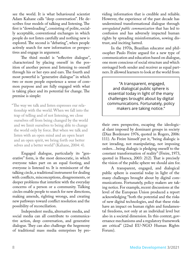see the world. It is what behavioural scientist Adam Kahane calls "deep conversation". He describes four models of talking and listening. The first is "downloading", consisting of polite, socially acceptable, conventional exchanges in which people do not listen carefully and nothing new is explored. The second is "debating", when people actively search for new information or perspectives and engage in argument.

The third model is "reflective dialogue", characterized by placing oneself in the position of another person and listening to oneself through his or her eyes and ears. The fourth and most powerful is "generative dialogue" in which two or more people experience a sense of common purpose and are fully engaged with what is taking place and its potential for change. The premise is simple:

"The way we talk and listen expresses our relationship with the world. When we fall into the trap of telling and of not listening, we close ourselves off from being changed by the world and we limit ourselves to being able to change the world only by force. But when we talk and listen with an open mind and an open heart and an open spirit, we bring forth our better selves and a better world" (Kahane, 2004: 4).

Engaged dialogue, particularly its "generative" form, is the most democratic, in which everyone takes part on an equal footing, and everyone is listened to. It is reminiscent of the talking circle, a traditional instrument for dealing with conflicts, misconceptions, disagreements, or deeper problems that interfere with the everyday concerns of a person or a community. Talking circles enable people to search for new directions, making amends, righting wrongs, and creating new pathways toward conflict resolution and the possibility of reconciliation.

Independent media, alternative media, and social media can all contribute to communicative action, deep conversation, and generative dialogue. They can also challenge the hegemony of traditional mass media enterprises by providing information that is credible and reliable. However, the experience of the past decade has undermined transformational dialogue through *unregulated public communication* that has led to confusion and has adversely impacted human rights by spreading misinformation, sowing distrust, and inciting hatred.

In the 1970s, Brazilian educator and philosopher Paulo Freire argued for a new type of communication and education based on dialogue, one more conscious of social structure and which envisaged both sender and receiver as equal partners. It allowed learners to look at the world from

"A transparent, engaged, and dialogical public sphere is essential today in light of the many challenges brought about by digital communications. Fortunately, policy makers are taking notice."

their own perspective, escaping the ideological slant imposed by dominant groups in society (Diaz Bordenave 1976, quoted in Rogers, 2006: 111). As Freire himself put it, "being dialogic is not invading, not manipulating, not imposing orders…being dialogic is pledging oneself to the constant transformation of reality" (Freire, 1973, quoted in Huesca, 2003: 212). That is precisely the vision of the public sphere we should aim for.

A transparent, engaged, and dialogical public sphere is essential today in light of the many challenges brought about by digital communications. Fortunately, policy makers are taking notice. For example, recent discussions at the level of the European Union produced a report acknowledging "both the potential and the risks of new digital technologies, and that these risks have an impact on human rights and fundamental freedoms, not only at an individual level but also in a societal dimension. In this context, governance mechanisms and a regulatory framework are critical" (22nd EU-NGO Human Rights Forum).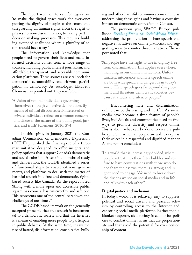The report went on to call for legislators "to make the digital space work for everyone: putting the dignity of people at the centre and safeguarding all human rights, from the right to privacy, to non-discrimination, to taking part in decision-making processes. This requires building extended coalitions where a plurality of actors should have a say."

The information and knowledge that people need to govern their lives and make informed decisions comes from a wide range of sources, including public interest journalism, and affordable, transparent, and accessible communication platforms. These sources are vital both for democratic accountability and citizens' participation in democracy. As sociologist Elisabeth Clemens has pointed out, they reinforce:

"A vision of rational individuals governing themselves through collective deliberation. By means of critical discourse, self-interested or private individuals reflect on common concerns and discover the nature of the public good, justice, and truth" (Clemens, 2010: 374).

In this spirit, in January 2021 the Canadian Commission on Democratic Expression (CCDE) published the final report of a threeyear initiative designed to offer insights and policy options that support Canada's democratic and social cohesion. After nine months of study and deliberation, the CCDE identified a series of functional steps to enable citizens, governments, and platforms to deal with the matter of harmful speech in a free and democratic, rightsbased society like Canada. As the report noted, "Along with a more open and accessible public square has come a less trustworthy and safe one. This represents one of the central paradoxes and challenges of our times."

The CCDE based its work on the generally accepted principle that free speech is fundamental to a democratic society and that the Internet is a means of enabling more people to participate in public debates. At the same time, it saw the rise of hatred, disinformation, conspiracies, bullying and other harmful communications online as undermining these gains and having a corrosive impact on democratic expression in Canada.

The previous year, WACC Europe published *[Breaking Down the Social Media Divides](http://www.wacceurope.org/wp-content/uploads/2020/10/00_WACC_Breaking_Down_Social_Media_Divides_Full.pdf)* addressing the proliferation of hate speech and negative narratives on online platforms, and suggesting ways to counter those narratives. The report noted that:

"All people have the right to live in dignity, free from discrimination. This applies everywhere, including in our online interactions. Unfortunately, intolerance and hate speech online are both widespread and dangerous in today's world. Hate speech goes far beyond disagreement and threatens democratic societies because it attacks and silences people."

Encountering hate and discrimination online can be distressing and hurtful. As social media have become a fixed feature of people's lives, individuals and communities need to find ways to promote diversity and respect online. This is about what can be done to create a public sphere in which all people are able to express their voices in a respectful and dignified manner. As the report concludes:

"In a world that is increasingly divided, where people retreat into their filter bubbles and refuse to have conversations with those who do not share their views, there is a strong and urgent need to engage. We need to break down the divides we see on social media and in life and talk with each other."

#### **Digital justice and inclusion**

In today's world, it is relatively easy to suppress political and social dissent and peaceful activism by controlling access to the Internet and censoring social media platforms. Rather than a blanket response, civil society is calling for policies to combat online harms that are proportionate and that avoid the potential for over-censorship of content.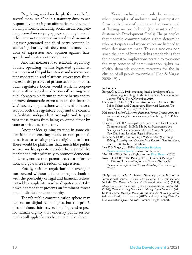Regulating social media platforms calls for several measures. One is a statutory duty to act responsibly imposing an affirmative requirement on all platforms, including social media companies, personal messaging apps, search engines and other internet operators involved in disseminating user-generated and third-party content. In addressing harms, this duty must balance freedom of expression and opinion against hate speech and incitement to violence.

Another measure is to establish regulatory bodies, operating within legislated guidelines, that represent the public interest and remove content moderation and platform governance from the exclusive preserve of private sector companies. Such regulatory bodies would work in cooperation with a "social media council" serving as a publicly accessible forum to reduce harms and to improve democratic expression on the Internet. Civil society organisations would need to have a seat on both the regulatory body and the council to facilitate independent oversight and to prevent these spaces from being co-opted either by state or private sector actors.

Another idea gaining traction in some circles is that of creating public or non-profit alternatives to existing private digital platforms. These would be platforms that, much like public service media, operate outside the logic of the market and exist primarily to promote democratic debate, ensure transparent access to information, and guarantee freedom of expression.

Finally, neither regulation nor oversight can succeed without a functioning mechanism with the possibility of legal and financial redress to tackle complaints, resolve disputes, and take down content that presents an imminent threat to an individual or a community.

Today's public communication sphere may depend on digital technologies, but the principles of balance, fairness, truth-telling, and respect for human dignity that underlay public service media still apply. As has been noted elsewhere:

"Social exclusion can only be overcome when principles of inclusion and participation form the bedrock of policies and actions aimed at 'leaving no one behind' (the mantra of the Sustainable Development Goals). The principles that underlie communication rights determine who participates and whose voices are listened to when decisions are made. This is a sine qua non, since the core of human rights standards is that their normative implications pertain to everyone: the very concept of communication rights implicitly demands concrete measures for the inclusion of all people everywhere" (Lee & Vargas,  $2020:19$ .

#### **References**

- Berger, G. (2010). 'Problematizing 'media development' as a bandwagon gets rolling'. In the *International Communication Gazette*, Vol 72, No 7, November 2010.
- Clemens, E. C. (2010). 'Democratization and Discourse: The Public Sphere and Comparative Historical Research.' In *Social Science History* 34(3): 373-381.
- Habermas, J. (1996). *Between Facts and Norms: Contributions to a discourse theory of law and democracy.* Cambridge, UK: Polity Press.
- Huesca, R. (2003). "Participatory Approaches to Development Communication". In [Bella Mody,](http://www.sagepub.com/authorDetails.nav?contribId=528095) ed. *International and Development Communication: A 21st-Century Perspective*. New Delhi and London: Sage Publications.
- Kahane, A. (2004). *Solving Tough Problems: An Open Way of Talking, Listening, and Creating New Realities.* San Francisco, CA: Berrett-Koehler Publishers.
- Lee, P. & Vargas, L. (2020). *[Expanding Shrinking](https://ccrvoices.org/product/expanding-communication/)  [Communication Spac](https://ccrvoices.org/product/expanding-communication/)*es. Penang: Southbound.
- 22nd EU-NGO Human Rights Forum. [Final Report](file:///Users/philiplee/Desktop/Desktop(12.12.2020)/MD3-2021/../AppData/Local/Microsoft/Windows/INetCache/Content.Outlook/PFXV7X0E/). https:/prod5.assets-cdn.io/event/5773/assets/8386445075-51a909d2e0.pdf) (2020).
- Rogers, E. (2006). "The Passing of the Dominant Paradigm". In Alfonso Gumucio-Dagron and Thomas Tufte, eds. *Communication for Social Change Anthology*, South Orange: CSFC.

Philip Lee is WACC General Secretary and editor of its international journal *Media Development.* His publications include *The Democratization of Communication* (ed.) (1995); *Many Voices, One Vision: The Right to Communicate in Practice* (ed.) (2004); *Communicating Peace: Entertaining Angels Unawares* (ed.) (2008); *Public Memory, Public Media, and the Politics of Justice*  (ed. with Pradip N. Thomas) (2012); and *Expanding Shrinking Communication Spaces* (ed. with Lorenzo Vargas) (2020).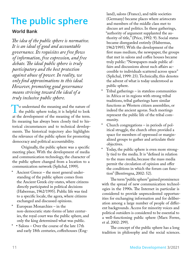## <span id="page-10-0"></span>**The public sphere**

#### **World Bank**

*The idea of the public sphere is normative. It is an ideal of good and accountable governance. Its requisites are free flows of information, free expression, and free debate. The ideal public sphere is truly participatory and the best protection against abuse of power. In reality, we only find approximations to this ideal. However, promoting good governance means striving toward the ideal of a truly inclusive public sphere.*

To understand the meaning and the nature of<br>the public sphere today, it is helpful to look<br>at the development of the meaning of the term the public sphere today, it is helpful to look at the development of the meaning of the term. Its meaning has always been closely tied to historical circumstances and to technical developments. The historical trajectory also highlights the relevance of the public sphere for promoting democracy and political accountability.

Originally, the public sphere was a specific meeting place. With the development of media and communication technology, the character of the public sphere changed from a location to a communication network (Splichal, 1999).

- Ancient Greece the most general understanding of the public sphere comes from the Ancient Greek city-states, where citizens directly participated in political decisions (Habermas, 1962/1995). Public life was tied to a specific locale, the agora, where citizens exchanged and discussed opinions.
- European Monarchies in the non-democratic state-forms of later centuries, the royal court was the public sphere, and only the king determined what was public.
- \* Salons Over the course of the late 17th and early 18th centuries, coffeehouses (Eng-

land), salons (France), and table societies (Germany) became places where aristocrats and members of the middle class met to discuss art and politics. In these gatherings, "authority of argument supplanted the authority of title," (Price, 1992: 9). Social status became disregarded entirely (Habermas, 1962/1995). With the development of the first mass medium, the newspaper, the groups that met in salons and coffee houses became truly public: "Newspapers made public affairs and discussions about such affairs accessible to individuals scattered across space" (Splichal, 1999: 23). Technically, this denotes the advent of what is today understood as public sphere.

- $Tribal$  gatherings in stateless communities in Africa or in regions with strong tribal traditions, tribal gatherings have similar functions as Western citizen assemblies, or indeed the ancient agoras. Such meetings represent the public life of the tribal community.
- Church congregations in periods of political struggle, the church often provided a space for members of oppressed or marginalized groups to gather and articulate their objectives.
- Today, the public sphere is even more strongly tied to the media. It is "defined in relation to the mass media, because the mass media permit the circulation of opinion and offer the conditions in which the forum can function" (Bentivegna, 2002: 52).

The term "public sphere" gained prominence with the spread of new communication technologies in the 1990s. The Internet in particular is considered to provide unprecedented opportunities for exchanging information and for deliberation among a large number of people of different backgrounds. Access for minority voices and political outsiders is considered to be essential to a well-functioning public sphere (Marx Ferree, et al. 2002: 299).

The concept of the public sphere has a long tradition in philosophy and the social sciences.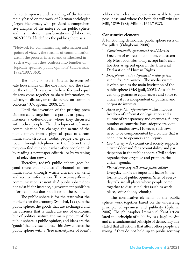the contemporary understanding of the term is mainly based on the work of German sociologist Jürgen Habermas, who provided a comprehensive analysis of the nature of the public sphere and its historic transformations (Habermas, 1962/1995). He defines the public sphere as a

 "Network for communicating information and points of view… the streams of communication are, in the process, filtered and synthesized in such a way that they coalesce into bundles of topically specified public opinions" (Habermas, 1992/1997: 360).

The public sphere is situated between private households on the one hand, and the state on the other. It is a space "where free and equal citizens come together to share information, to debate, to discuss, or to deliberate on common concerns" (Odugbemi, 2008: 17).

Until the invention of the printing press, citizens came together in a particular space, for instance a coffee-house, where they discussed with other people. The development of mass communication has changed the nature of the public sphere from a physical space to a communication structure. Today, people can get in touch through telephone or the Internet, and they can find out about what other people think by reading a newspaper editorial or by watching local television news.

Therefore, today's public sphere goes beyond space and includes all channels of communications through which citizens can send and receive information. This two-way-flow of communication is essential: A public sphere does not exist if, for instance, a government publishes information but does not listen to the people.

The public sphere is for the state what the market is for the economy (Splichal, 1999). In the public sphere, the goods that are exchanged and the currency that is traded are not of economic, but of political nature. the main product of the public sphere is public opinion, and ideas are the "goods" that are exchanged. This view equates the public sphere with a "free marketplace of ideas",

a libertarian ideal where everyone is able to propose ideas, and where the best idea will win (see Mill, 1859/1985; Milton, 1644/1927).

#### **Constitutive elements**

A functioning democratic public sphere rests on five pillars (Odugbemi, 2008):

- *\* Constitutionally guaranteed civil liberties* Freedom of expression, opinion, and assembly. Most countries today accept basic civil liberties as agreed upon in the Universal Declaration of Human Rights.
- *\* Free, plural, and independent media system not under state control* – The media system is often seen as the main institution of the public sphere (McQuail, 2005). As such, it can only guarantee equal access and voice to citizens if it is independent of political and corporate interests.
- *\* Access to public information* This includes freedom of information legislation and a culture of transparency and openness. A large number of countries have adopted freedom of information laws. However, such laws need to be complemented by a culture that is conducive to openness and inquiry.
- *Civil society* A vibrant civil society supports citizens' demand for accountability and participation in the public sphere. Civil society organizations organize and promote the citizen agenda.
- *\* Sites of everyday talk about public affairs* Everyday talk is an important factor in the formation of public opinion. Sites of everyday talk are all places where people come together to discuss politics (such as workplace, coffee shops, schools).

The constitutive elements of the public sphere work together based on the underlying principle of openness and publicity (Splichal, 2006). The philosopher Immanuel Kant articulated the principle of publicity as a legal maxim and as a fundamental principle of democracy. He stated that all actions that affect other people are wrong if they do not hold up to public scrutiny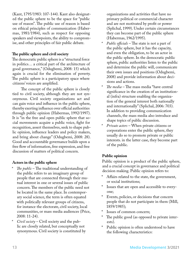(Kant, 1795/1983: 107-144). Kant also designated the public sphere to be the space for "public use of reason". The public use of reason is based on ethical principles of communication (Habermas, 1981/1984), such as respect for opposing speakers and viewpoints, the ability to compromise, and other principles of fair public debate.

#### **The public sphere and civil society**

The democratic public sphere is a "structural force in politics… a critical part of the architecture of good governance," (Odugbemi, 2008: 15) which again is crucial for the elimination of poverty. The public sphere is a participatory space where citizens' voices are amplified.

The concept of the public sphere is closely tied to civil society, although they are not synonymous. Civil society organizations act and can gain voice and influence in the public sphere, thereby exerting influence over official authorities through public opinion (Habermas, 1992/1997). It is "in the free and open public sphere that social movements acquire a public voice, fight for recognition, assert themselves, seek to shape public opinion, influence leaders and policy makers, and bring about change" (Odugbemi, 2008: 28). Good and accountable governance builds upon a free flow of information, free expression, and free discussion of matters of political concern.

#### **Actors in the public sphere**

- *The public* The traditional understanding of the public refers to an imaginary group of people that are connected through their mutual interest in one or several issues of public concern. The members of the public need not be located in the same place. In contemporary social science, the term is often equated with politically relevant groups of citizens, for instance the electorate, civil society, local communities, or mass media audiences (Price, 2008: 11-24).
- *\* Civil society* Civil society and the public are closely related, but conceptually not synonymous. Civil society is constituted by

organizations and activities that have no primary political or commercial character and are not motivated by profit or power (Splichal, 1999). Under certain circumstances they can become part of the public sphere (Habermas, 1962/1995).

- *\* Public officials* The state is not a part of the public sphere, but it has the capacity, and even the obligation, to be an actor in the public sphere. In the democratic public sphere, public authorities listen to the public and determine the public will, communicate their own issues and positions (Odugbemi, 2008) and provide information about decisions and actions.
- *\* The media* The mass media "have central significance in the creation of an institutional (infra) structure enabling the organization of the general interest both nationally and internationally" (Splichal, 2006: 703). In addition to providing communication channels, the mass media also introduce and shape topics of public discussion.
- *\* Private actors* When private citizens or corporations enter the public sphere, they usually do so to promote private or public interests. in the latter case, they become part of the public.

#### **Public opinion**

Public opinion is a product of the public sphere, and a crucial concept in governance and political decision making. Public opinion refers to:

- Affairs related to the state, the government, or social institutions;
- Issues that are open and accessible to everyone;
- Events, policies, or decisions that concern people that do not participate in them (Mill, 1859/1985);
- Issues of common concern;
- The public good (as opposed to private interests).
- \* Public opinion is often understood to have the following characteristics: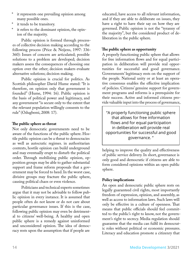- it represents one prevailing opinion among many possible ones.
- it tends to be transitory.
- it refers to the dominant opinion, the opinion of the majority.

Public opinion is formed through processes of collective decision making according to the following process (Price & Neijens, 1997: 336- 360): Issues of concern are articulated; possible solutions to a problem are developed; decision makers assess the consequences of choosing one option over the other; decision makers evaluate alternative solutions; decision making.

Public opinion is crucial for politics. As Scottish philosopher David Hume stated: "It is therefore, on opinion only that government is founded" (Hume, 1994: 16). Public opinion is the basis of political power and legitimacy, and any government "is secure only to the extent that the relevant population willingly consents to the rule" (Odugbemi, 2008: 17).

#### **The public sphere as threat**

Not only democratic governments need to be aware of the functions of the public sphere. Hostile public opinion can be a threat to democracies as well as autocratic regimes. in authoritarian contexts, hostile opinion can build underground and may eventually erupt to disturb the political order. Through mobilizing public opinion, opposition groups may be able to gather substantial support and frame reform proposals that a government may be forced to heed. In the worst case, divisive groups may fracture the public sphere, causing political chaos or even violence.

Politicians and technical experts sometimes argue that it may not be advisable to follow public opinion in every instance. It is assumed that people often do not know or do not care about particular governance issues. If this is the case, following public opinion may even be detrimental to citizens' well-being. A healthy and open public sphere is a remedy against uninformed and unconsidered opinion. The idea of democracy rests upon the assumption that if people are

educated, have access to all relevant information, and if they are able to deliberate on issues, they have a right to have their say on how they are governed. Public opinion is not the "tyranny of the majority", but the considered product of deliberation in the public sphere.

#### **The public sphere as opportunity**

A properly functioning public sphere that allows for free information flows and for equal participation in deliberation will provide real opportunities for successful and good governance. Governments' legitimacy rests on the support of the people. National unity or at least an operative consensus enables the effective implication of policies. Citizens' genuine support for government programs and reforms is a prerequisite for their success. Active and informed citizens provide valuable input into the process of governance,

"A properly functioning public sphere that allows for free information flows and for equal participation in deliberation will provide real opportunities for successful and good governance. "

helping to improve the quality and effectiveness of public service delivery. In short, governance is only good and democratic if citizens are able to form considered opinions within an open public sphere.

#### **Policy implications**

An open and democratic public sphere rests on legally guaranteed civil rights, most importantly freedom of expression, opinion, and assembly, as well as access to information laws. Such laws will only be effective in a culture of openness. That means that public officials should feel committed to the public's right to know, not the government's right to secrecy. Media regulation should guarantee that the media can fulfil its democratic roles without political or economic pressures. Literacy and education promote a citizenry that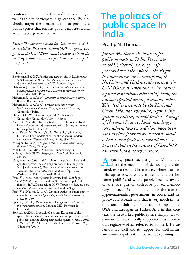<span id="page-14-0"></span>is interested in public affairs and that is willing as well as able to participate in governance. Policies should target these main factors to promote a public sphere that enables good, democratic, and accountable government.

*Source: The communication for Governance and Accountability Program (commGAP), a global program at the World Bank, which seeks to confront the challenges inherent in the political economy of development.*

#### **References**

- Bentivegna, S. (2002). Politics and new media. In L. Lievrouw & S. Livingstone (Eds.), *Handbook of new media: Social shapings and consequences of ICTs.* London: Sage.
- Habermas, J. (1962/1995). *The structural transformation of the public sphere: An inquiry into a category of bourgeois society.* Cambridge: MIT Press.
- Habermas, J. (1981/1984). *The theory of communicative action.*  Boston: Beacon Press.
- Habermas, J. (1992/1997). *Between facts and norms: Contributions to a discourse theory of law and democracy.*  Cambridge: Polity.
- Hume, D. (1994). *Political essays.* Ed. K. Haakonssen. Cambridge: Cambridge University Press.
- Kant, I. (1795/1983). To perpetual peace. In Immanuel Kant: *Perpetual peace and other essays on politics, history, and morals.* Indianapolis, IN: Hackett.
- Marx Ferree, M., Gamson, W. A., Gerhards, J., & Rucht, D. (2002). Four models of the public sphere in modern democracies. *Theory and Society,* 31(3), 289–324.
- McQuail, D. (2005). *McQuail's Mass Communication Theory.*  thousand Oaks, CA: sage.
- Mill, J. S. (1859/1985). *On liberty*. London: Penguin.
- Milton, J. (1644/1927). *Areopagitica.* New York: Payson & Clarke.
- Odugbemi, A. (2008). Public opinion, the public sphere, and quality of governance: An exploration. In S. Odugbemi & T. Jacobson (eds.), *Governance reform under real-world conditions. Citizens, stakeholders, and voice* (pp. 15–37). Washington, D.C.: The World Bank.
- Price, V. (1992). *Public opinion.* Newbury Park, CA: Sage.
- Price, V. (2008). The public and public opinion in political theories. In W. Donsbach & M. W. Traugott (eds.), *The Sage handbook of public opinion research.* London: Sage.
- Price, V. & Neijens, P. (1997). Opinion quality in public opinion research. *International Journal of Public Opinion Research,*  9(4), 336–360.
- Splichal, S. (1999). *Public opinion. Developments and controversies in the twentieth century.* Lanham, MD: Rowman & Littlefield.
- Splichal, S. (2006). In search of a strong European public sphere: Some critical observations on conceptualizations of publicness and the (European) public sphere. *Media, Culture & Society,* 28(5), 695–714. See also Habermas (1962/1995); Odugbemi (2008).

## **The politics of public space in India**

#### **Pradip N. Thomas**

*Jantar Mantar is the location for public protests in Delhi. It is a site at which literally scores of major protests have taken place – the Right to information, anti-corruption, the Nirbhaya and Hathras rape cases, anti-CAA (Citizen Amendment Act) rallies against contentious citizenship laws, the Farmer's protest among numerous others. This, despite attempts by the National Green Tribunal, the police, right-wing groups to restrict, disrupt protest. A range of National Security laws including a colonial-era law on Sedition, have been used to place journalists, students, social activists and protestors behind bars – a prospect that in the context of Covid-19 can turn into a death sentence.*

rguably, spaces such as Jantar Mantar are<br>where the meanings of democracy are de-<br>bated expressed and listened to where truth is where the meanings of democracy are debated, expressed and listened to, where truth is held up to power, where causes and issues become 'public' and where people become aware of the strength of collective power. Democracy, however, is an anathema to the current hyper-nationalist government in power and its proto-Fascist leadership that is very much in the tradition of Bolsonaro in Brazil, Trump in the USA and Erdogan in Turkey. And in this context, the networked public sphere simply has to contend with a centrally supported misinformation regime – often referred to as the BJP's infamous IT Cell and its support for troll farms and counter-publicity initiatives at spinning the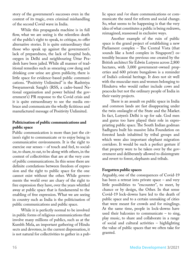story of the government's successes even in the context of its tragic, even criminal mishandling of the second Covid wave in India.

While this propaganda machine is in full flow, what we are seeing is the relentless death of the public's right to speak, to critique, to offer alternative stories. It is quite extraordinary that those who speak up against the government's lack of preparedness, the lack of hospital beds, oxygen in Delhi and neighbouring Uttar Pradesh have been jailed. While all manner of traditional remedies such as smearing cow dung and drinking cow urine are given publicity, there is little space for evidence-based public communications. "Positivity Unlimited" is the Rashtriya Swayamsevak Sangh's (RSS, a cadre-based National organisation and power behind the government's) PR response to the Covid crisis and it is quite extraordinary to see the media embrace and communicate the wholly fictitious and manufactured message of Positivity Unlimited.

#### **Politicisation of public communications and public space**

Public communication is more than just the citizen's right to communicate or to enjoy being in communicative environments. It is the right to exercise our senses – of touch and feel, to socialise, to share, to eat, to be along with others, in the context of collectivities that are at the very core of public communications. In this sense there are definite correlations between freedom of expression and the right to public space for the one cannot exist without the other. While governments the world over are chary of the right to free expression they have, over the years whittled away at public space that is fundamental to the enabling of free expression. What we are seeing in country such as India is the politicisation of public communications and public space.

While it is perfectly normal to be involved in public forms of religious communications that involve many millions of publics, such as at the Kumbh Mela, an important gathering of Hindu sects and devotees, in the current dispensation, it is not natural for collectivities to gather in a public space and /or share communications or communicate the need for reform and social change. So, what seems to be happening is that the very idea of what constitutes a public is being redrawn, reimagined, reassessed in exclusive ways.

Another example of the ruin of public space is the grand project of establishing a new Parliament complex – The Central Vista (that sounds like a hotel complex in Singapore!) ostensibly because the previous one created by the British architect Sir Edwin Lutyens across 2,800 hectares, with 3,000 government-owned properties and 600 private bungalows is a reminder of India's colonial heritage. It does not sit well with the muscular men and women belonging to Hindutva who would rather include cows and peacocks but not the ordinary people of India in their vanity projects.

There is an assault on public space in India and common lands are fast disappearing under the twin onslaught of the State and the Market. In fact, Lutyen's Delhi is up for sale. God men and gurus too have played their role in expropriating public space. The South Indian godman Sadhguru built his massive Isha Foundation on forested lands inhabited by tribal groups and which were also important elephant migration corridors. It would be such a perfect gesture if that property were to be taken over by the government and deliberately allowed to disintegrate and revert to forest, elephants and tribals.

#### **Forgotten public spaces**

Arguably, one of the consequences of Covid-19 has been a retreat into private space – and very little possibilities to "encounter", to meet, by chance or by design, the Other. In that sense Covid-19 lock-downs have led to the death of public space and to a certain unmaking of cities that were meant for crowds and for minglings. At the same time, people in lock-downs have used their balconies to communicate – to sing, play music, to share and collaborate in a range of social and cultural activities – highlighting the value of public spaces that we often take for granted.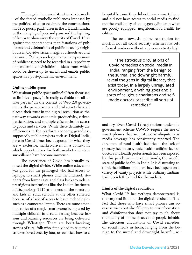Here again there are distinctions to be made – of the forced symbolic publicness imposed by the political class to celebrate the contributions made by poorly paid nurses in the UK and in India or the clanging of pots and pans and the lighting of lamps to shoo away the spirits of Covid-19 as against the spontaneous manifestations of publicness and celebrations of public space by neighbours in Covid-stricken neighbourhoods around the world. Perhaps such spontaneous expressions of publicness need to be recorded in a repository of pandemic convivialities – ideas from which could be drawn up to enrich and enable public spaces in a post-pandemic environment.

#### **Online public space**

What about public space online? Often theorised as limitless space, it is really available for all to take part in? In the context of Web 2.0 governments, the private sector and civil society have all placed their trust in the digital revolution as the pathway towards economic productivity, citizen participation, and multiple efficiencies in access to goods and services. While there definitely are efficiencies in the platform economy, grandiose, supposedly public projects such as Digital India, have in Covid-times been exposed for what they are – exclusive, market-driven in a context in which opportunities for both market and state surveillance have become immense.

The experience of Covid has brutally exposed the digital divide. While online education was good for the privileged who had access to laptops, to smart phones and the Internet, students from lower caste and class backgrounds in prestigious institutions like the Indian Institutes of Technology (IIT) at one end of the spectrum and kids in rural schools at the other suffered because of a lack of access to basic technologies such as a connected laptop. There are some amazing stories of a single smartphone being used by multiple children in a rural setting because lessons and learning resources are being delivered through Whatsapp. There are heart-breaking stories of rural folk who simply had to take their stricken loved ones by foot, or autorickshaw to a

hospital because they did not have a smartphone and did not have access to social media to find out the availability of an oxygen cylinder in what are poorly equipped, neighbourhood health facilities.

The turn towards online registration for most, if not all social security schemes has left informal workers without any connectivity high

"The atrocious circulations of Covid remedies on social media in India, ranging from the benign to the surreal and downright harmful, reveal the gaps in digital literacy that exist today. In a largely unregulated environment, anything goes and all sorts of religious charlatans and selfmade doctors prescribe all sorts of remedies."

and dry. Even Covid-19 registrations under the government scheme CoWIN require the use of smart phones that are just not as ubiquitous as media coverage has consistently reported. The dire state of rural health facilities – the lack of primary health care, basic health facilities, lack of doctors and health professionals has been exposed by this pandemic – in other words, the woeful state of public health in India. It is distressing to think that billions of dollars have been spent on a variety of vanity projects while ordinary Indians have been left to fend for themselves.

#### **Limits of the digital revolution**

What Covid-19 has perhaps demonstrated is the very real limits to the digital revolution. The fact that those who have smart phones can access services but also fall prey to misinformation and disinformation does not say much about the quality of online spaces that people inhabit. The atrocious circulations of Covid remedies on social media in India, ranging from the benign to the surreal and downright harmful, re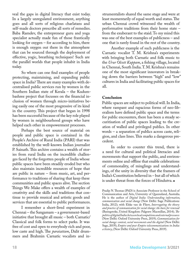veal the gaps in digital literacy that exist today. In a largely unregulated environment, anything goes and all sorts of religious charlatans and self-made doctors prescribe all sorts of remedies. Baba Ramdev, the entrepreneur guru and yoga specialist actually made fun of those frantically looking for oxygen – for according to him, there is enough oxygen out there in the atmosphere that can be sourced through the deployment of effective, yogic, breathing techniques! Such are the parallel worlds that people inhabit in India today.

So where can one find examples of people protecting, maintaining, and expanding public space in India? There are many examples with decentralised public services run by women in the Southern Indian state of Kerala – the Kudumbashree project that focusses on the financial inclusion of women through micro-initiatives being easily one of the most progressive of its kind in the country. This project that began in 1998 has been successful because of the key role played by women in neighbourhood groups who have helped each other in empowerment processes.

Perhaps the best source of material on people and public space is contained in the People's Archive of Rural India (PARI) that was established by the well-known Indian journalist P. Sainath. This archive contains a wealth of stories from rural India on the incredible challenges faced by the forgotten people of India whose public spaces have been steadily eroded but who also maintain incredible resources of hope that are public in nature – from music, art, and performance to traditions of sharing that keep these communities and public spaces alive. The section Things We Make offers a wealth of examples of creativity and the skills and traditions that continue to provide musical and artistic goods and services that are essential to public performances.

I remember a short-lived experiment in Chennai – the Sangamam – a government-based initiative that brought all music – both Carnatic/ Classical and folk forms to select parks. It was free of cost and open to everybody rich and poor, low caste and high. The *paraiattam*, Dalit drummers and Brahmin Carnatic vocalists and in-

strumentalists shared the same stage and were at least momentarily of equal worth and status. The urban Chennai crowd witnessed the wealth of performative traditions from their home state – from the exuberant to the staid. To my mind this was one of the best examples of publicness – and one that is rarely found in the rest of the country.

Another example of such publicness is the Carnatic vocalist T. M. Krishna's experiments with bringing both Carnatic and folk music to the *Urur Olcott Kuppam*, a fishing village, located in Chennai, South India. T. M. Krishna's remains one of the most significant innovators in breaking down the barriers between "high" and "low" cultures in India and facilitating public spaces for all.

#### **Conclusion**

Public spaces are subject to political will. In India, where rampant and rapacious forms of neo-liberalism have defined public space and the terms for public encounters, there has been a steady securitisation of public spaces leading to the creation of walled and privileged publics. In other words – a separation of publics across caste, religion, and class lines. This marks a dangerous precedent.

In order to counter this trend, there is a need for cultural and political literacies and movements that support the public, and environments online and offline that enable celebrations of commonality, of minglings and understandings, of the unity in diversity that the framers of India's Constitution believed in – but all of which is under threat from the forces of Hindutva. $\blacksquare$ 

Pradip N. Thomas (PhD) is Associate Professor in the School of Communication and Arts, University of Queensland, Australia. He is the author of *Digital India: Understanding information, communication and social change* (New Delhi: Sage Publications India, 2012); with Elske van de Fliert, *Interrogating the theory and practice of communication for social change: the basis for renewal* (Basingstoke, United Kingdom: Palgrave Macmillan, 2014); *The politics of digital India: between local compulsions and external pressures* (New Delhi: Oxford University Press, 2019); *Communication for social change: context, social movements and the digital* (New Delhi: Sage, 2019); *Empire and post-Empire telecommunications in India: a history*, (New Delhi: Oxford University Press, 2019).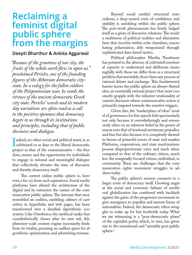## <span id="page-18-0"></span>**Reclaiming a feminist digital public sphere from the margins**

#### **Deepti Bharthur & Ankita Aggarwal**

*"Because of the greatness of our city, the fruits of the whole earth flow in upon us," proclaimed Pericles, one of the founding figures of the Athenian democratic citystate. In a eulogy for the fallen soldiers of the Peloponnesian war, he extols the virtues of the ancient democratic Greek city state. Pericles' words and its modern day variations are often read as a call to the positive openness that democracy begets to us through its institutions and principles, including that of public discourse and dialogue.*

 $\prod_{\text{nr}}$ I ndeed, no other social and political tenet, is as celebrated or as dear to the liberal democratic project as that of the communicative – the freedom, means and the opportunity for individuals to engage in rational and meaningful dialogue that collectively elevates the state of discourse and thereby democracy itself.

The current online public sphere is, however, a far cry from such aspirations. Social media platforms have altered the architecture of the digital and by extension the nature of the communicative public sphere. The internet that once resembled an endless, rambling cabinet of curiosities in hyperlinks and web pages, has been transformed into a datafied algorithmic ecosystem. Like Ouroboros, the mythical snake that cannibalistically chases after its own tail, this planetary-scale content engine incessantly feeds from its virality, pursuing an endless quest for algorithmic optimization and advertising revenue.

Beyond social media's structural antecedents, a deep-seated crisis of confidence and stability is unfolding within the public sphere. The post-truth phenomenon has firmly lodged itself as a given of discursive relations. The result: a multiverse of political realities and alternative facts that ricochet within echo chambers, exacerbating polarization, ably weaponized through sophisticated data-based tactics.

Political philosopher Martha Nussbaum has pointed to the absence of cultivated emotional capacity to understand and deliberate meaningfully with those we differ from as a structural problem that inevitably short-fuses any process of rational debate and exchange. This fundamental barrier leaves the public sphere an always-flawed idea, an essentially rational project that must constantly grapple with the inherent irrationality of current discourse where communicative action is primarily targeted towards the emotive triggers.

Given this, the "marketplace of ideas" model of governance for free speech [fails spectacularly](http://bostonreview.net/politics-philosophy-religion/jason-stanley-what-mill-got-wrong-about-freedom-of-speech) not only because it overwhelmingly and erroneously relies on an inherent belief in the power of reason over that of irrational sentiment, prejudice and bias but also because it is completely skewed in favour of powerful actors of state and market. Platforms, corporations, and state machinations possess disproportionate voice and reach when compared to that of the ordinary citizen, much less the marginally located citizen, individual, or community. These are challenges that the communication rights movement struggles to address today.

The public sphere's erosion connects to a larger crisis of democracy itself. Growing anger at the social and economic failures of neoliberal globalization has combined with backlash against the gains of the progressive movement to give resurgence to populist and narrow forms of nationalism. Indeed, the democratic ethos struggles to make up for lost footholds today. What we are witnessing is a "post-democratic phase" of the capitalist polity, which, in turn, has given rise to the transitional and "unstable post-public sphere.<sup>1</sup>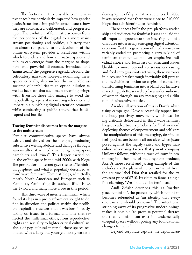The frictions in this unstable communicative space have particularly impacted how gender justice issues break into public consciousness, how they are constructed, deliberated, and progressed upon. The evolution of feminist discourses from the peripheries of the digital to a more mainstream positioning and politics, a history that has almost run parallel to the devolution of the online ecosystem provides a useful lens within which to understand how alternative spaces and publics can emerge from the margins to shape new and powerful discourses, introduce and "mainstream" the progressive agenda. Beyond the celebratory narrative however, examining these spaces critically, also surface the inevitable associated vulnerabilities to co-option, dilution as well as backlash that such mainstreaming brings with. Even for those who manage to avoid the trap, challenges persist in ensuring relevance and impact in a punishing digital attention economy, while combatting a public sphere that is disrupted and hostile.

#### **Tracing feminist discourses from the margins to the mainstream**

Feminist communicative spaces have always existed and thrived on the margins, producing substantive writing, debate, and dialogue through various alternative media including newspapers, pamphlets and "zines". This legacy carried on in the online space in the mid 2000s with blogs. The pre-platform internet gave rise to a "feminist blogosphere" and what is popularly described as [third wave feminism.](https://www.theguardian.com/world/2006/mar/31/gender.uk) Feminist blogs, admittedly, mostly North American and European such as Feministe, Feministing, Broadsheet, Bitch PhD, the F-word and many more arose in this period.

This third wave of internet feminism, which found its legs in a pre-platform era sought to define its direction and politics within the neoliberal capitalist structures that it was born into. By taking on issues in a format and tone that reflected the millennial ethos, from reproductive rights and sexuality to lighter critical cultural analysis of pop cultural material, these spaces resonated with a large but younger, mostly western

demographic of digital native audiences. In 2006, it was reported that there were close to 240,000 blogs that self-identified as feminist.

These spaces built the pre-platform readership and audience for feminist issues and laid the all-important groundwork for inserting feminist discourse into a newly emerging digital attention economy. But this generation of media voices invariably ended up promoting a certain kind of feminism that tended to over-emphasize individual choice and focus less on structural issues. Unable to move beyond consciousness raising and feed into grassroots activism, these victories in discourse breakthrough inevitably fell prey to the inevitable co-option strategies of capitalism, transforming feminism into a bland but lucrative marketing palette, served up for a wider audience of women through snazzy messaging and a dilution of substantive politics.

An ideal illustration of this is Dove's advertising campaigns. Dove successfully tapped into the body positivity movement, which was being critically deliberated in third wave feminist blogs, to advertise its products for "real women", deploying [themes of empowerment and self-care.](https://qz.com/692535/we-sold-feminism-to-the-masses-and-now-it-means-nothing/) The manipulations of this messaging, despite its feel good nature become all too clear when juxtaposed against the highly sexist and hyper masculine advertising tactics that parent company Unilever follows, without a trace of irony, in promoting its other line of male hygiene products, Axe. A more [recent and jarring example](https://feminisminindia.com/2019/01/07/capitalist-consumerist-feminism-fail/) of this includes a 2017 plain-white cotton t-shirt from the couture label Dior that retailed for the exorbitant price of \$710. Its claim to fame, a single line claiming, "We should all be feminists."

[Andi Zeisler](file:///Users/philiplee/Desktop/Desktop(12.12.2020)/MD3-2021/../../../home/deepti/Documents/Projects/Papers/WACC/We%20Were%20Feminists%20Once:%20From%20Riot%20Grrrl%20to%20CoverGirl,%20the%20Buying%20and%20Selling%20of%20a%20Political%20Movement.) describes this as "marketplace feminism", the process by which feminism becomes rebranded as "an identity that everyone can and should consume". The intentional stripping away of its progressive underpinnings makes it possible "to promise potential detractors that feminism can exist in fundamentally unequal spaces without posing any foundational changes to them."

Beyond corporate capture, the depoliticiza-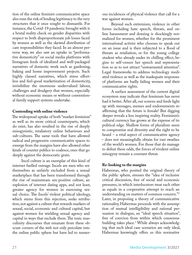tion of the online feminist communicative space also runs the risk of lending legitimacy to the very structures that it once sought to dismantle. For instance, the Covid-19 pandemic brought with it a brutal reality check on gender disparities with respect to both disproportionate job losses faced by women as well as the skewed distribution of care responsibilities they faced. In an almost perverse way, we also saw an uptake in ["performa](http://bostonreview.net/gender-sexuality/jessa-crispin-feminism-lockdown)[tive domesticity"](http://bostonreview.net/gender-sexuality/jessa-crispin-feminism-lockdown) on social media platforms with Instagram feeds of idealized and well-packaged narratives of domestic work such as gardening, baking and home improvement projects. Such highly classed narratives, which stress effortless and feel-good marketization of domesticity, invisibilize the enormous undervalued labour, challenges and drudgery that women, especially without economic means or without conventional family support systems undertake.

#### **Contending with online violence**

The widespread uptake of both "market feminism" as well as its more critical counterparts, which do exist, has also resulted in the rise of deeply misogynistic, retaliatory online behaviours and sub-cultures. The same tools that have allowed radical and progressive communicative spaces to emerge from the margins have also allowed other kinds of counter publics to coalesce, ones that go deeply against the democratic grain.

[Incel culture](https://www.newyorker.com/culture/cultural-comment/the-rage-of-the-incels) is an exemplar of this kind of internet fuelled outrage. Incels are men who see themselves as unfairly excluded from a sexual marketplace that has been transformed through the rise of mainstream sex-positive culture, an explosion of internet dating apps, and not least, greater agency for women in exercising sexual choice. The Incels' violent political ideology, which stems from this rejection, seeks retribution, not against a culture that rewards markers of sexual, social, economic and cultural capital, but against women for wielding sexual agency and capital in ways that exclude them. The toxic masculinity discourses that emanate from these obscure corners of the web not only percolate into the online public sphere but have led to numer-

ous incidences of physical violence that call for a war against women.

Beyond such extremism, violence in other forms including hate speech, threats, and online harassment and doxxing is shockingly normalized for women, whether for the prominent international activist who chooses to speak out on an issue and is then subjected to a flood of threats as retaliation, or for the young college student who already under its chilling effect, begins to self-censor her speech and representation so as to not attract "unwarranted attention". Legal frameworks to address technology mediated violence as well as the inadequate responses of platforms are badly failing women and their communicative rights.

A surface assessment of the current digital ecosystem may indicate that feminism has never had it better. After all, our screens and feeds light up with messages, memes and endorsements reaffirming that the future is female! But digging deeper reveals a less inspiring reality. Feminism's cultural currency has grown at the expense of its political edge. Shallow forms of pluralism seem to compromise real diversity and the right to be heard – a vital aspect of communicative agency – does not meaningfully obtain for vast swathes of the world's women. For those that do manage to defeat these odds, the forces of virulent online misogyny remain a constant threat.

#### **Re-looking to the margins**

Habermas, who posited the original theory of the public sphere, stresses the "idea of inclusive critical discussion, free of social and economic pressures, in which interlocutors treat each other as equals in a cooperative attempt to reach an understanding on matters of common concern."2 Later, in proposing a theory of communicative rationality, Habermas proceeds with the assumption of mutual intelligibility and rational persuasion in dialogue, an "ideal speech situation", free of coercion from within which consensus building takes place.3 While always acknowledging that such ideal case scenarios are only ideal, Habermas knowingly offers us this normative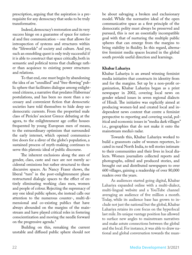prescription, arguing that the [aspiration is a pre](http://bostonreview.net/philosophy-religion/brandon-bloch-unfinished-project-enlightenment)[requisite](http://bostonreview.net/philosophy-religion/brandon-bloch-unfinished-project-enlightenment) for any democracy that seeks to be truly transformative.

Indeed, democracy's restoration and its very success hinge on a guarantee of space for rational and free communication – one that allows for introspection of systems and structures within the "lifeworlds" of society and culture. And yet, such an ennobling quest is only truly successful if it is able to construct that space critically, both in semantic and political terms that challenge rather than acquiesce to existing power structures and relations.

To that end, one must begin by abandoning the idea of an "unsullied" and "free-flowing" public sphere that facilitates dialogue among enlightened citizens, a narrative that predates Habermas' postulations, and has been no more than a necessary and convenient fiction that democratic societies have told themselves to hide deep undemocratic currents. From the propertied male class of Pericles' ancient Greece debating at the agora, to the enlightenment age coffee houses frequented by young European men of means, to the extraordinary optimism that surrounded the early internet, which opened communicative doors for a sliver of the globe's population, a sustained process of myth-making continues to serve this platonic ideal of public discourse.

The inherent exclusions along the axes of gender, class, caste and race are not merely accidental omissions but rather structural to these discursive spaces. As Nancy Fraser shows, the liberal "turn" in the post-enlightenment phase restructured dialogic spaces to the effect of entirely eliminating working class men, women and people of colour. Rejecting the supremacy of any one ideal public sphere, she instead calls our attention to the numerous counter-, multi-dimensional and co-existing publics that have always abounded on the margins of the mainstream and have played critical roles in fostering conscientization and moving the needle forward on the progressive agenda.4

Building on this, remaking the current unstable and diffused public sphere should not be about salvaging a broken and exclusionary model. While the normative ideal of the open communicative space as a first principle of the democratic polity must always be preserved and pursued, this is not an essentially incompatible goal with that of nurturing the multiple public spheres that can emerge from the margins to bring stability in fluidity. In this regard, alternative feminist media spaces located in the global south provide useful direction and learnings.

#### **Khabar Lahariya**

Khabar Lahariya is an award winning feminist media initiative that constructs its identity from and for the margins. Set up by a non-profit organization, Khabar Lahariya began as a print newspaper in 2002, covering local news on gender related issues in seven regional dialects of Hindi. The initiative was explicitly aimed at producing women-led and created local and independent news content that centre a feminist perspective to reporting and covering social, political and economic issues in "media dark villages" i.e., geographies that do not make it onto the mainstream media's radar.

Towards this, Khabar Lahariya worked to build a grassroots cadre of women reporters, located in rural North India, to tell stories intimate to their communities and their lives in local dialects. Women journalists collected reports and photographs, edited and produced stories, and brought out and distributed newspapers to over 600 villages, gaining a readership of over 80,000 readers over the years.

As audiences started going digital, Khabar Lahariya expanded online with a multi-dialect, multi-lingual website and a YouTube channel averaging an audience of five million a month. Today, while its audience base has grown to include not just the national but the global, Khabar Lahariya retains its core focus on the hyperlocal last mile. Its unique vantage position has allowed to surface new angles to mainstream narratives and make astute connections between the global and the local. For instance, it was able to draw national and global conversation towards the nuan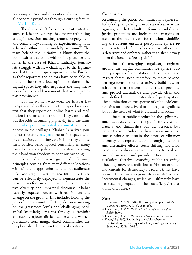ces, complexities, and diversities of socio-cultural-economic prejudices through a cutting feature on [Me Too Rural](https://khabarlahariya.org/metoo-rural/).

The digital shift for a once print initiative such as Khabar Lahariya has meant rethinking strategic decision-making around engagement and community-building by experimenting with "a hybrid offline-online model/playground". The team behind the initiative is blunt about the complexities that come with online presence and fame. In the case of Khabar Lahariya, journalists struggle with new challenges to the legitimacy that the online space opens them to. Further, as their reporters and editors have been able to build on their role as local opinion-makers in the digital space, they also negotiate the magnification of abuse and harassment that accompanies this prominence.

For the women who work for Khabar Lahariya, rooted as they are in the hyper-local context that they report on, online harm and retribution is not an abstract notion. They cannot rule out the odds of running physically into the same [men who post unsolicited comments](https://thethirdeyeportal.in/praxis/suneeta-is-typing-part-2/) on their photos in their villages. Khabar Lahariya's journalists therefore [navigate the online space](https://thethirdeyeportal.in/praxis/suneeta-is-typing-part-1/) with great caution, exhibiting care in how they choose their battles. Self-imposed censorship in many cases becomes a palatable alternative to losing their hard won freedom to continue working.

As a media initiative, grounded in feminist principles coming from very different locations, with different approaches and target audiences, offer working models for how an online space can be effectively deployed to demonstrate the possibilities for true and meaningful communicative diversity and impactful discourse. Khabar Lahariya equates success with real impact and change on the ground. This includes holding the powerful to account, effecting decision-making on the grassroots levels and challenging patriarchal knowledge systems through a feminist and subaltern journalistic practice where, women journalists from marginalized communities are deeply embedded within their local contexts.

#### **Conclusion**

Reclaiming the public communication sphere in today's digital paradigm needs a radical new imaginary, one that is built on feminist and digital justice principles and looks to the margins instead of the mainstream for solutions. Stabilizing the current unstable post-public sphere requires us to seek "fluidity" as recourse rather than a deterrent and embrace rather than shrink away from the idea of a "post-public".

The still-emerging regulatory regimes around the digital communicative sphere, currently a space of contestation between state and market forces, need therefore to move beyond damage control mode to actively build new institutions that restore public trust, promote and protect alternatives and provide clear and well-defined public protocols of participation. The elimination of the spectre of online violence remains an imperative that is not just legalistic but at the heart of what is cultural and social.

The post-public needn't be the splintered and fractured enemy of the public sphere which haunts and diminishes our democracies, but rather the multitudes that have always sustained and continue to sustain the ethos of vibrancy, diversity, and representation through grassroots and alternative efforts. Such shifting and fluid post-publics always carry the ability to coalesce around an issue and provide critical public articulation, thereby expanding public reasoning. They may move and shift, but as Me Too or other movements for democracy in recent times have shown, they can also generate constitutive and incremental changes, which will ultimately have far-reaching impact on the social/legal/institutional discourse. $\blacksquare$ 

#### **Notes**

- 1. Schlesinger, P. (2020). After the post-public sphere. *Media, Culture & Society*, *42* (7-8), 1545-1563.
- 2. Habermas, J. (1962). *The Structural Transformation of the Public Sphere*
- 3. Habermas, J. (1981). *The Theory of Communicative Action*
- 4. Fraser, N. (1990). Rethinking the public sphere: A contribution to the critique of actually existing democracy. *Social text*, (25/26), 56-80.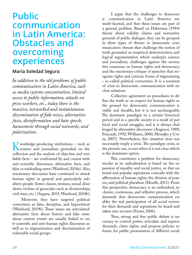## <span id="page-23-0"></span>**Public communication in Latin America: Obstacles and overcoming experiences**

#### **María Soledad Segura**

*In addition to the old problems of public communication in Latin America, such as media systems concentration, limited access to public information, attacks on press workers, etc., today there is the massive, networked and instantaneous dissemination of fake news, alternative facts, disinformation and hate speech; harassment through social networks; and polarization.* 

Knowledge-producing institutions – such as<br>
science and journalism grounded on the<br>
collection and the analysis of objective and veriscience and journalism grounded on the collection and the analysis of objective and verifiable facts – are confronted by and coexist with anti-scientific discourses, alternative facts, and false or misleading news (Waisbord, 2018a). Also, reactionary discourses have continued to attack human rights in general and particularly subaltern people (lower classes, women, sexual dissidents, victims of genocides such as dictatorships, civil wars, etc.) (Segura, 2015; Waisbord, 2018b).

Moreover, they have targeted political correctness as false, deceptive, and hypocritical (Waisbord, 2019b). These issues are articulated: alternative facts about history and fake news about current events are usually linked to anti-scientific and anti-human rights discourses as well as to stigmatization and discrimination of vulnerable social groups.

I argue that the challenges to democratic communication in Latin America are multi-faceted, and that these issues are part of a general problem. Based on Habermas (1994) theory about validity claims and normative grounds of public dialogue, they can be grouped in three types of threats to democratic communication: threats that challenge the notion of truth grounded on empirical demonstration and logical argumentation which underpin science and journalism; challenges against the normative consensus on human rights and democracy; and the reactionary critique of speeches that recognize rights and criticize forms of stigmatizing – so-called political correctness. It is a moment of crisis in democratic communication with no clear solutions.

Collective agreement on procedures to define the truth or on respect for human rights as the ground for democratic communication is stable and durable, but it is not unchangeable. The dominant paradigm in a certain historical period and in a specific society is a result of political and social struggles, and it is always challenged by alternative discourses (Angenot, 1989; Foucault, 1992; Williams, 2000; Mozejko y Costa, 2007). Nevertheless, this situation does not necessarily imply a crisis. The paradigm crisis, as the present one, occurs when it is not clear which is the dominant option.

This constitutes a problem for democracy insofar as its radicalization is based on the expansion of equality and social justice, so that national and popular aspirations coincide with the affirmation of human rights, the division of powers, and political pluralism (Mouffe, 2011). From this perspective, democracy is an unfinished, inclusive, continuous, and reflexive process, which demands that democratic communication enables the real participation of all social sectors for their demands and aspirations be heard and taken into account (Fraser, 2006).

Thus, strong and free public debate is necessary to control power, articulate and express demands, claim rights, and propose policies reforms, for public presentation of different social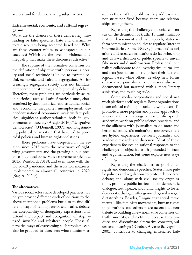sectors, and for democratizing subjectivities.

#### **Extreme social, economic, and cultural segregation**

What are the chances of these deliberately misleading or false speeches, hate and discriminatory discourses being accepted based on? Why are these counter-values so widespread in our societies? Which are the levels of violence and inequality that make these discourses attractive?

The rupture of the normative consensus on the definition of objective truth, personal sincerity and social rectitude is linked to extreme social, economic, and cultural segregation. An increasingly segregated society does not facilitate democratic, constructive, and high quality debate. Therefore, these problems are particularly acute in societies, such as Latin American ones, characterized by deep historical and structural social and economic inequality; unemployment; dependent national economies; weak welfare policies; significant authoritarianism both in governments and society (Araujo, 2016); "delegative democracies" (O'Donnell, 1997); and longstanding political polarization that have led to genocidal policies and human rights violations.

These problems have deepened in the region since 2015 with the new wave of rightwing governments and the growing public presence of cultural conservative movements (Segura, 2015; Waisbord, 2018), and even more with the Covid-19 pandemic and the isolation measures implemented in almost all countries in 2020 (Segura, 2020c).

#### **The alternatives**

Various social actors have developed practices not only to provide different kinds of solutions to the above-mentioned problems but also to find different ways of telling fact-based truths, debate the acceptability of derogatory expressions, and extend the respect and recognition of stigmatized, invisible and subaltern people. These alternative ways of overcoming such problems can also be grouped in three sets whose limits – as

well as those of the problems they address – are not strict nor fixed because there are relationships among them.

Regarding the challenges to social consensus on the definition of truth: To limit misinformation, harassment and hate speech, states reform communication policies to regulate Internet intermediaries. Some NGOs, journalists' associations and research institutions do fact-checking and data-verification of public speech to unveil fake news and disinformation. Professional journalists collaborate to do investigative journalism and data journalism to strengthen their fact and logical bases, while others develop new forms of narrative journalism to tell stories also well documented but narrated with a more literary, subjective, and touching style.

Some media corporations and social network platforms self-regulate. Some organizations foster critical training of social network users. To promote a more popular and public approach to science and to challenge ant-scientific speech, academics work on public science practices, and make alliances with journalists to do more and better scientific dissemination; moreover, there are hybrid experiences between journalist and academic research and discourse. Most of these experiences focuses on rational responses to the challenges to objective truth grounded in facts and argumentation, but some explore new ways of telling.

Regarding the challenges to pro-human rights and democracy speeches: States make public policies and regulations to protect democratic debate; and, along with civil society organizations, promote public institutions of democratic dialogue, truth, peace, and human rights to foster democratic dialogue after genocides, civil wars, or dictatorships. Besides, I argue that social movements – like feminists movements, human rights organizations and others – are actors that contribute to building a new normative consensus on truth, sincerity, and rectitude, because they produce and disseminate alternative concepts, values and meanings (Escobar, Alvarez & Dagnino, 2001); contribute to changing entrenched hab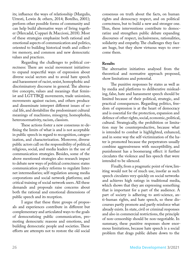its; influence the ways of relationship (Margulis, Urresti, Lewin & others, 2014; Botelho, 2001); perform other possible forms of community and can help build alternative ways of living together (Mercadal, Coppari & Maccioni, 2018). Most of these strategies emphasize both rational and emotional aspects of communication and politics, oriented to building historical truth and collective memory, and common and new democratic values and practices.

Regarding the challenges to political correctness: There are social movement initiatives to expand respectful ways of expression about diverse social sectors and to avoid hate speech and harassment of racist, sexist, homophobic and discriminatory discourse in general. The alternative concepts, values and meanings that feminist and LGTTBQI movements, trade unionism, movements against racism, and others produce and disseminate interpret different issues of social life, and destabilize the predominant cultural meanings of machismo, misogyny, homophobia, heteronormativity, racism, classism.

These actions foster a new consensus re-defining the limits of what is and is not acceptable in public speech in regard to recognition, categorization, and characterization. Moreover, diverse public actors call on the responsibility of political, religious, social, and media leaders in the use of communication strategies. Besides, some of the above mentioned strategies also research impact to debate new ways of political correctness: states communication policy reforms to regulate Internet intermediaries; self-regulation among media corporations and social network platforms; and critical training of social network users. All these demands and proposals raise concerns about both the rational and emotional dimensions of public speech and its reception.

I argue that these three groups of proposals and experiences contribute in different but complementary and articulated ways to the goals of democratizing public communication, promoting democratic reasons and emotions, and building democratic people and societies. These efforts are attempts not to restore the old social

consensus on truth about the facts, on human rights and democracy respect, and on political correctness, but to build a new and stronger one. Thus, these interventions contribute to democratize and strengthen public debate expanding discourses of respect, inclusiveness, rationalities, solidarity and empathy. The challenges they face are huge, but they show virtuous ways to overcome them.

#### **Results**

The alternative initiatives analysed from the theoretical and normative approach proposed, show limitations and potential.

The punitive responses by states as well as by media and platforms to deliberative misleading, false, hate and harassment speech should be limited because of their political, strategic, and practical consequences. Regarding politics, freedom of expression is at the heart of democracy and is essential for the protection, expansion and defence of other rights, social, economic, political, cultural. Strategically, the prohibition or limitation may be counterproductive, because what is intended to combat is highlighted, enhanced, and in some way the self-victimization of the hater is promoted because the perpetrators usually combine aggressiveness with susceptibility, and punishment has a boomerang effect: it further circulates the violence and lies speech that were intended to be silenced.

Finally, from a pragmatic point of view, limiting would not be of much use, insofar as such speech circulates very quickly on social networks and achieves high ratings in traditional media, which shows that they are expressing something that is important for a part of the audience. A part of society is adhering to anti-science, anti-human rights, and hate speech, so these discourses partly promote and partly reinforce what already exists. In state, civil or criminal responses and also in commercial restrictions, the principle of non-censorship should be non-negotiable. In summary, these punitive responses show enormous limitations, because hate speech is a social problem that drags public debate down to the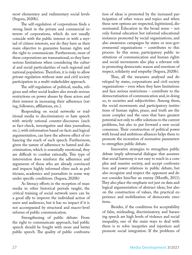most elementary and rudimentary social levels (Segura, 2020b).

The self-regulation of corporations finds a strong limit in the private and commercial interests of corporations, which do not usually coincide with the public interest or with a myriad of citizen interests, nor do they have as their main objective to guarantee human rights and the right to communicate. Furthermore, most of these corporations are transnational, so they have serious limitations when considering the cultural and social particularities of each regional and national population. Therefore, it is risky to allow private regulation without state and civil society participation in a multi-stakeholder approach.

The self-regulation of political, media, religious and other social leaders also reveals serious restrictions on power abuses by these actors and their interest in increasing their adherence (rating, followers, affiliations, etc.).

Responding on social networks or traditional media to discriminatory or hate speech with strictly rational counter-discourses (such as fact-check, investigative and data journalism, etc.), with information based on facts and logical argumentation, can have the adverse effect of enhancing the reach of such speech. Furthermore, given the nature of adherence to hatred and discrimination, which is essentially emotional, they are difficult to combat rationally. This type of intervention does reinforce the adherence and arguments of those who are already convinced and impacts highly informed elites such as politicians, academics and journalists in some way under specific conditions. (Segura, 2020b)

As literacy efforts in the reception of mass media in other historical periods taught, the critical training of social network users can be a good ally to improve the individual action of users and audiences, but it has no impact if it is not accompanied by structural and macro-level reforms of public communication.

Strengthening of public debate: From the right to communicate approach, bad public speech should be fought with more and better public speech. The quality of public confrontation of ideas is promoted by the increased participation of other voices and topics and when these new options are respected, legitimized, disseminated. Education in the broad sense – not only formal education but informal educational instances promoted by social organizations, and also awareness campaigns by states or non-governmental organizations – contributes to this process. In this sense, participatory public institutions of communication and human rights and social movements also play a relevant role in promoting democratic reason and emotions of respect, solidarity and empathy (Segura, 2020b).

Thus, all the measures analysed and developed by states, corporations and civil society organizations – even when they have limitations and face serious restrictions – contribute to the democratisation of communication and, in doing so, to societies and subjectivities. Among them, the social movements and participatory institutions of human rights, peace, and truth are the more complex and the ones that have greatest potential not only to offer solutions to the current problems, but also to put forward a new social consensus. Their construction of political power with broad and ambitious alliances helps them to promote the recreation of normative parameters to strengthen public debate.

Innovative strategies to strengthen public debate imply adversarial dialogue that assumes that social harmony is not easy to reach in a complex and massive society, and accept confrontation and power relations in public debate, but also recognize and respect the opponent and do not consider him/her an enemy (Mouffe, 2011). They also place the emphasis not just on data and logical argumentation of abstract ideas, but also on the construction of values, the practical experience and mobilization of democratic emotions.

Besides, if the conditions for acceptability of false, misleading, discriminatory, and harassing speech are high levels of violence and social inequality, one of the main ways to deal with them is to solve inequities and injustices and promote social integration. If the problems of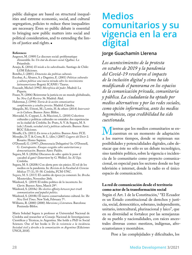<span id="page-27-0"></span>public dialogue are based on structural inequalities and extreme economic, social, and cultural segregation, policies to reduce these inequalities are necessary. Even so public debate is essential to bringing new public matters into social and political consideration, and to extending the limits of justice and rights. $\blacksquare$ 

#### **References**

- Angenot, M. (1989) Le discours social: problematique d'ensemble. In: *Un état du discours social*. Québec: Le Préambule.
- Araujo, K. (2016) *El miedo a los subordinados*. Santiago de Chile: LOM Ediciones.
- Botelho, I. (2001). *Dimensões das políticas culturais.*

Escobar, A.; Álvarez, S. y Dagnino, E. (2001) *Politicas culturales y cultura política: una nueva mirada sobre los movimientos latinoamericanos* Bogotá: ICANH / Taurus.

Foucault, Michel (1992) *Microfísica del poder*. Madrid: La Piqueta.

- Fraser, N. (2006) Reinventar la justicia en un mundo globalizado, In: *New Left Review* 36. Madrid: Akal.
- Habermas, J. (1994) *Teoría de la acción comunicativa: complementos y estudios previos*. Madrid: Cátedra.
- Margulis, M.; Urresti, M.; Lewin, H. & others (2014) *Intervenir en la Cultura*. Buenos Aires: Biblos.
- Mercadal, S.; Coppari, L. & Maccioni, L. (2018) Colectivos culturales y políticas culturales no estatales: dos experiencias en la ciudad de Córdoba. In: Prato, A. V. & Segura, M. S. (eds.) *Estado, sociedad civil y políticas culturales*. Buenos Aires: RGC Ediciones.
- Mouffe, Ch. (2011) *En torno a lo político*. Buenos Aires: FCE.
- Mozejko, D. T. & Costa, R. L. (dirs.) (2007) *Lugares del Decir* 2. Rosario: Homo Sapiens.
- O'Donnell, G. (1997) ¿Democracia Delegativa? In: O'Donnell, G. *Contrapuntos. Ensayos escogidos sobre autoritarismo y democratización*. Buenos Aires: Paidós.
- Segura, M. S. (2020a) Discursos de odio: quién le pone el cascabel al gato? (Interview by G. Weller). In: *El Tajo.* Córdoba.
- Segura, M. S. (2020b) Con alerta pero sin pánico. El rol de los medios en la pandemia. In: *Revista de la Facultad de Ciencias Médicas* 77 (1), 55-58. Córdoba, FCM-UNC.
- Segura, M. S. (2015) El cambio de época ya comenzó. In: *Brecha*. Montevideo, November 26th.
- Waisbord, S. (2019) El rédito político de lo incorrecto. In: *Clarín*. Buenos Aires, March 29<sup>th</sup>.

Waisbord, S. (2018a) *The elective affinity between post-truth communication and populist politics.*

- Waisbord, S. (2018b) El nuevo conservadurismo cultural. In: *The New York Times*. New York, February 7<sup>th</sup>.
- Williams, R. (2000) (2000) *Marxismo y Literatura*. Barcelona: Península-Biblos.

María Soledad Segura is professor at Universidad Nacional de Córdoba and researcher at Consejo Nacional de Investigaciones Científicas y Técnicas, in Argentina. She holds a PhD in Social Sciences. One of her books is D*e la resistencia a la incidencia. Sociedad civil y derecho a la comunicación en Argentina* (Ediciones UNGS, 2018).

## **Medios comunitarios y su vigencia en la era digital**

#### **Jorge Guachamín Llerena**

*Los acontecimientos de la protesta en octubre de 2019 y la pandemia del Covid-19 revelaron el impacto de la inclusión digital y cómo ha ido modificando el panorama en los espacios de la comunicación privada, comunitaria y pública. La ciudadanía ha optado por medios alternativos y por las redes sociales, como opción informativa, ante los medios hegemónicos, cuya credibilidad ha sido cuestionada.*

Mientras que los medios comunitarios se en-<br>a los nuevos tiempos donde se repiensan sus cuentran en un momento de adaptación a los nuevos tiempos, donde se repiensan sus posibilidades y potencialidades digitales, cabe destacar que éste no sólo es un debate tecnológico, sino también político, sobre la vigencia e incidencia de lo comunitario como proyecto comunicacional, en especial para los sectores donde no hay televisión e internet, donde la radio es el único espacio de comunicación.

#### **La red de comunicación desde el territorio como actor de la transformación social**

Según el Art. 1 de la Constitución,<sup>1</sup> "El Ecuador es un Estado constitucional de derechos y justicia, social, democrático, soberano, independiente, unitario, intercultural, plurinacional y laico", que en su diversidad se fortalece por las semejanzas de su pueblo y nacionalidades, con raíces ancestrales diversas como: mestizos, indígenas, afroecuatorianos y montubios.

Pese a las complejidades y dificultades, los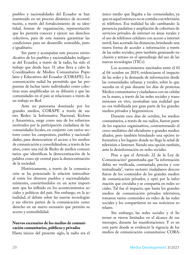pueblos y nacionalidades del Ecuador se han mantenido en un proceso dinámico de reconstitución, a través del fortalecimiento de su identidad, formas de organización, representación que les permita conocer y ejercer sus derechos colectivos, para de esta manera garantizar las condiciones para un desarrollo sostenible, justo e igualitario.

Ser parte y acompañar este proceso reivindicativo de los pueblos y nacionalidades indígenas del Ecuador, a través de la radio, ha sido el trabajo que desde hace 31 años lleva a cabo la Coordinadora de Medios Comunitarios Populares y Educativos del Ecuador (CORAPE). La comunicación radial ha permitido que las propuestas de luchas tanto individuales como colectivas sean amplificadas en su difusión y que las comunidades en el país se relacionen a través de un trabajo en Red.

Ante un panorama dominado por los grandes medios, CORAPE a través de sus tres Redes: la Informativa Nacional, Kichwa y Amazónica, surge como uno de los esfuerzos motivados por la participación ciudadana de las comunidades locales, en conjunto con varios sectores como los campesinos, pueblos y nacionalidades, para democratizar el acceso a los medios de comunicación y consolidándose, a través de los años, como una red de Redes de medios comunitarios que identifican la democratización de la palabra como eje central para la democratización de la sociedad.

Históricamente, a través de la comunicación se ha potenciado la relación intercultural entre los diversos pueblos y nacionalidades existentes, convirtiéndolos en un actor importante que ha influido en los acontecimientos sociales y políticos del país. Sin embargo, en la actualidad, el debate sobre las nuevas tecnologías y sus efectos parten de la comunicación como derecho en un nuevo escenario que permita su acceso y sostenibilidad.

#### **Nuevos escenarios de los medios de comunicación comunitarios, públicos y privados**

Hasta inicios del presente siglo, la radio era el

único medio que llegaba a las comunidades, ya que en aquel entonces no se contaba con televisión ni teléfonos. Esa realidad ha ido cambiando: la presencia paulatina y ampliación de cobertura de servicios privados de internet en áreas rurales y el uso de teléfonos celulares con acceso a internet móvil, han acortado las distancias, brindando una nueva forma de acceder a información a través de las redes sociales; pero también generando exclusión y retraso en el aprendizaje del uso de las nuevas tecnologías (TICs).

Los acontecimientos suscitados entre el 01 al 04 octubre en 2019, evidenciaron el impacto de las redes y la demanda de información desde las comunidades urbanas y rurales, sobre lo que sucedía en el país durante los días de protestas. Medios comunitarios y ciudadanos con un celular en la mano, a través de las redes sociales y transmisiones en vivo, mostraban una realidad que no era visibilizada por gran parte de los grandes medios privados y hegemónicos.

Durante esos días de octubre, los medios comunitarios, a través de sus radios, fueron parte de los espacios organizativos, contrarrestando el cerco mediático del oficialismo y grandes medios aliados, pero también brindando una opción informativa a los lugares donde no llega la señal de televisión o Internet. Siendo una opción también, ante la desinformación en redes sociales.

Pese a que el Artículo 22 de la Ley de Comunicación<sup>2</sup> garantizaba que "la información debía ser verificada, contrastada, precisa y contextualizada", varios sectores ciudadanos desconfiaron de los contenidos de los grandes medios de comunicación privados, y optó por la información que circulaba y se compartía en redes sociales. Tal fue el impacto, que hasta los grandes medios de comunicación privados televisivos, tomaron varios contenidos en vídeo de las redes sociales y los compartieron en sus noticieros estelares.

Sin embargo, las redes sociales y el Internet se vieron limitados en el alcance de sus mensajes, durante las manifestaciones. Y es en esta parte donde se evidenció la vigencia de los medios de comunicación comunitarios: CORA-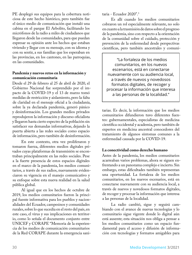PE desplegó sus equipos para la cobertura noticiosa de este hecho histórico, pero también fue el único medio de comunicación que instaló una cabina en el parque El Arbolito, facilitando los micrófonos de la radio a miles de ciudadanos que llegaron desde las comunidades, para que puedan expresar su opinión ante los hechos que estaban viviendo y llegar con su mensaje, con su idioma y con su sentir, a sus familias que los esperaban en las provincias, en los cantones, en las parroquias, en las comunidades.

#### **Pandemia y nuevos retos en la información y comunicación comunitaria**

Desde el 29 de febrero al 25 de abril de 2020, el Gobierno Nacional fue sorprendido por el impacto de la COVID-19 y el 13 de marzo tomó medidas de restricción y aislamiento, pero la falta de claridad en el mensaje oficial a la ciudadanía, sobre la ya declarada pandemia, generó pánico y desinformación. Los grandes medios privados reprodujeron la información y discurso oficialista y llegaron hasta cierto espectro de la población sin satisfacer sus demandas informativas, dejando la puerta abierta a las redes sociales como espacio de información, pero también de desinformación.

En este contexto, otra vez proliferaron y tomaron fuerza, diferentes medios digitales privados cuyas plataformas de transmisión se encontraban principalmente en las redes sociales. Pese a la fuerte presencia de estos espacios digitales en el marco de la pandemia, los medios comunitarios, a través de sus radios, nuevamente evidenciaron su vigencia en el manejo comunicativo y su enfoque sobre esta nueva realidad en la salud pública global.

Al igual que en los hechos de octubre de 2019, los medios comunitarios fueron la principal fuente informativa para los pueblos y nacionalidades del Ecuador, campesinos y comunidades rurales, sobre lo que sucedía en el resto del país, en este caso, el virus y sus implicaciones en territorio, como lo señala el documento conjunto entre UNICEF y CORAPE "Memoria de la experiencia de los medios de comunicación comunitarios de la Red CORAPE durante la emergencia sanitaria - Ecuador 2020".3

Es allí cuando los medios comunitarios cobraron un rol especialmente relevante, no solo en cuanto a la trasmisión de datos sobre el progreso de la pandemia, sino con respecto a la orientación de la comunidad sobre el cuidado, protección y prevención de la enfermedad desde perspectivas científicas, pero también ancestrales y comuni-

"La fortaleza de los medios comunitarios, en los nuevos escenarios, está en conectarse nuevamente con su audiencia local, a través de nuevos y novedosos formatos digitales, de recoger y procesar la información que interesa a las personas de la localidad."

tarias. Es decir, la información que los medios comunitarios difundieron tuvo diferentes fuentes: gubernamentales, especialistas de medicina científica occidental y academia, pero también de expertos en medicina ancestral conocedores del tratamiento de algunos síntomas comunes a la enfermedad causada por la COVID-19.

#### **La conectividad como derecho humano**

Antes de la pandemia, los medios comunitarios acarreaban varios problemas, ahora se siguen enfrentando a un panorama complejo e incierto. Sin embargo, estas dificultades también representan una oportunidad. La fortaleza de los medios comunitarios, en los nuevos escenarios, está en conectarse nuevamente con su audiencia local, a través de nuevos y novedosos formatos digitales, de recoger y procesar la información que interesa a las personas de la localidad.

La radio cambió, sigue y seguirá cambiando con el avance de nuevas tecnologías y lo comunitario sigue vigente donde lo digital aún está ausente; esta situación nos obliga a pensar a los medios comunitarios como un espacio fundamental para el acceso y difusión de información con tecnologías y formatos amigables para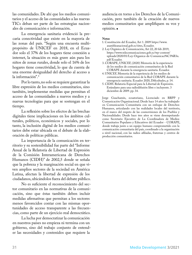las comunidades. De ahí que los medios comunitarios y el acceso de las comunidades a las nuevas TICs deban ser parte de las estrategias nacionales de comunicación e información.

La emergencia sanitaria evidenció la precaria conectividad que existe en la mayoría de las zonas del país. "Según una encuesta multipropósito de UNICEF en 2018, en el Ecuador solo el 37% de los hogares tiene conexión a internet, la situación es más grave aún para los niños de zonas rurales, donde solo el 16% de los hogares tiene conectividad, lo que da cuenta de una enorme desigualdad del derecho al acceso a la información".<sup>4</sup>

Por lo tanto, no solo se requiere garantizar la libre expresión de los medios comunitarios, sino también, implementar medidas que permitan el acceso de las comunidades a nuevos medios y a nuevas tecnologías para que se sostengan en el tiempo.

La reflexión sobre los efectos de las brechas digitales tiene implicaciones en los ámbitos culturales, políticos, económicos y sociales, por lo tanto, la inclusión digital de los medios comunitarios debe estar ubicada en el debate de la elaboración de políticas públicas.

La importancia de la comunicación en territorio y su sostenibilidad fue parte del "Informe Anual de la Relatoría de Libertad de Expresión de la Comisión Interamericana de Derechos Humanos (CIDH)" de 2002,5 donde se señala que la pobreza y la marginación social en que viven amplios sectores de la sociedad en América Latina, afectan la libertad de expresión de los ciudadanos, ubicándolos fuera del debate público.

No es suficiente el reconocimiento del sector comunitario en las normativas de la comunicación, sino que éstas también deben incluir medidas afirmativas que permitan a los sectores menos favorecidos contar con las mismas oportunidades de acceso transparente a las frecuencias, como parte de un ejercicio real democrático.

La lucha por democratizar la comunicación en nuestros países no empieza ni termina con un gobierno, sino del trabajo conjunto de entender las necesidades y contenidos que requiere la

audiencia en torno a los Derechos de la Comunicación, pero también de la creación de nuevos medios comunitarios que amplifiquen su voz y opinión.

#### **Notas**

- 1. Constitución del Ecuador, Art 1. 2009 [https://www.](https://www.asambleanacional.gob.ec/sites) [asambleanacional.gob.ec/sites](https://www.asambleanacional.gob.ec/sites), Ecuador.
- 2. Ley Orgánica de Comunicación, Art 22, 20 feb 2019, [https://www.telecomunicaciones.gob.ec/wp-content/](https://www.telecomunicaciones.gob.ec/wp-content/uploads/2020/01/Ley-Organica-de-Comunicaci%C3%B3n.pdf) [uploads/2020/01/Ley-Organica-de-Comunicaci%C3%B3n.](https://www.telecomunicaciones.gob.ec/wp-content/uploads/2020/01/Ley-Organica-de-Comunicaci%C3%B3n.pdf) [pdf](https://www.telecomunicaciones.gob.ec/wp-content/uploads/2020/01/Ley-Organica-de-Comunicaci%C3%B3n.pdf) Ecuador.
- 3. CORAPE, UNICEF, (2020) Memoria de la experiencia de los medios de comunicación comunitarios de la Red CORAPE durante la emergencia sanitaria. Ecuador.
- 4. UNICEF, Memoria de la experiencia de los medios de comunicación comunitarios de la Red CORAPE durante la emergencia sanitaria. Ecuador 2020, Dificultades, p. 14.
- 5. CIDH. Relatoría Especial para la Libertad de Expresión. Estándares para una radiodifusión libre e incluyente. 3 diciembre de 2009. pp. 34.

Jorge Guachamín, ecuatoriano, Licenciado en RRPP y Comunicación Organizacional. Desde hace 14 años ha trabajado en Comunicación Comunitaria con un enfoque de Derechos Humanos, articulando con las realidades locales del territorio, en el marco del respeto de las cosmovisiones de los Pueblos y Nacionalidades. Desde hace tres años se viene desempeñando como Secretario Ejecutivo de La Coordinadora de Medios Comunitarios Populares y Educativos del Ecuador - CORAPE, donde trabaja junto a un equipo humano comprometido con la comunicación comunitaria del país, coordinado a la organización a nivel nacional, con las radios afiliadas, fraternas y centros de producción comunitarios.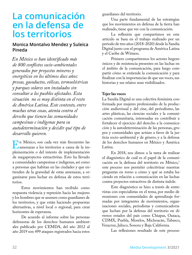## <span id="page-31-0"></span>**La comunicación en la defensa de los territorios**

#### **Monica Montalvo Mendez y Suleica Pineda**

*En México se han identificado más de 800 conflictos socio-ambientales generados por proyectos mineros y energéticos en los últimos doce años: presas, gasoductos, eólicas, termoeléctricas y parques solares son instalados sin consultar a los pueblos afectados. Esta situación no es muy distinta en el resto de América Latina. Este contexto, entre muchas otras cosas, atenta contra el derecho que tienen las comunidades campesinas e indígenas para su autodeterminación y decidir qué tipo de desarrollo quieren.*

En México, son cada vez más frecuentes las<br>amenazas a los territorios a causa de la imamenazas a los territorios a causa de la implementación o del intento de implementación de megaproyectos extractivitas. Esto ha llevado a comunidades campesinas e indígenas, así como a personas que habitan en las ciudades y que entienden de la gravedad de estas amenazas, a organizarse para luchar en defensa de estos territorios.

Estos movimientos han recibido como respuesta violencia y represión hacia las mujeres y los hombres que se asumen como guardianes de los territorios, y que están haciendo propuestas alternativas, a nivel local o regional, para crear horizontes de esperanza.

De acuerdo al informe sobre las personas defensoras de los derechos humanos ambientales publicado por CEMDA, del año 2012 al año 2019 son 499 ataques registrados hacia estos

guardianes del territorio.

Una parte fundamental de las estrategias que los movimientos en defensa de la tierra han realizado, tiene que ver con la comunicación.

La reflexión que compartimos en este artículo se basa en el trabajo realizado por un periodo de tres años (2018-2020) desde la Sandía Digital junto con el programa de América Latina y el Caribe de Witness.

Primero compartiremos los actores hegemónicos y de resistencia presentes en las luchas en el ámbito de la comunicación, para luego compartir cómo se entiende la comunicación y para finalizar con la importancias de que sus voces, sus historias y sus relatos sean visibilizados.

#### **Tejer las voces**

La Sandía Digital es una colectiva feminista conformada por mujeres profesionales de la producción audiovisual y del cine, del periodismo, las artes plásticas, las ciencias sociales y la comunicación comunitaria, interesadas en contribuir a fortalecer el ejercicio del derecho a la comunicación y la autodeterminación de las personas, grupos y comunidades que actúan a favor de la justicia socio-ambiental y de género, y a la defensa de los derechos humanos en México y América Latina.

En 2018, nos dimos a la tarea de realizar el diagnóstico de cuál es el papel de la comunicación en la defensa del territorio en México,<sup>1</sup> este proceso nos permitió colectivizar nuestras preguntas en torno a cómo y qué se estaba haciendo en relación a comunicación en las luchas contra proyectos extractivos de distinta índole.

Este diagnóstico se hizo a través de entrevistas con especialistas en el tema, por medio de reuniones con comunidades de aprendizaje formadas por integrantes de movimientos, organizaciones sociales, periodistas y comunicadorxs que luchan por la defensa del territorio en diversos estados del país como Chiapas, Oaxaca, CDMX, Puebla, Morelos, Michoacán, Tabasco, Veracruz, Jalisco, Sonora y Baja California.

Las reflexiones resultado de este proceso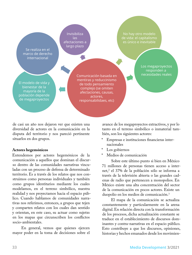Se realiza en el marco de derecho internacional

El modelo de vida y bienestar de la mayoría de la población depende de megaproyectos

Comunicación basada en mentiras y reduccinismo de todo pensamiento complejo (se omiten afectaciones, causas, actores, responsabilidaes, etc)

Invisibiliza las afectaciones a largo plazo

**AND** 

de vida: el capitalismo es único e inevitable

No hay otro modelo

Los megaproyectos responden a necesidades reales

de casi un año nos dejaron ver que existen una diversidad de actores en la comunicación en la disputa del territorio y nos pareció pertinente situarlos en dos grupos.

#### **Actores hegemónicos**

Entendemos por actores hegemónicos de la comunicación a aquellos que dominan el discurso dentro de las comunidades narrativas vinculadas con un proceso de defensa de determinado territorio. Es a través de los relatos que nos construimos como personas individuales y también como grupos identitarios mediante los cuales modelamos, en el terreno simbólico, nuestra realidad y nos proyectamos hacia el espacio público. Cuando hablamos de comunidades narrativas nos referimos, entonces, a grupos que tejen y comparten relatos con los cuales dan sentido y orientan, en este caso, su actuar como sujetxs en los mapas que circunscriben los conflictos socio-ambientales.

En general, vemos que quienes ejercen mayor poder en la toma de decisiones sobre el avance de los megaproyectos extractivos, y por lo tanto en el terreno simbólico o inmaterial también, son los siguientes actores:

- \* Empresas e instituciones financieras internacionales
- Los gobiernos
- Medios de comunicación

Sobre este último punto si bien en México 71 millones de personas tienen acceso a internet,2 el 37% de la población sólo se informa a través de la televisión abierta o las grandes cadenas de radio que pertenecen a monopolios. En México existe una alta concentración del sector de la comunicación en pocos actores. Existe un duopolio en los medios de comunicación.3

El mapa de la comunicación se actualiza constantemente y particularmente en la arena digital. En relación directa con la transformación de los procesos, dicha actualización constante se traduce en el establecimiento de discursos dominantes y contra-narrativas en el espacio público. Esto contribuye a que los discursos, opiniones, historias y hechos emanados desde los movimien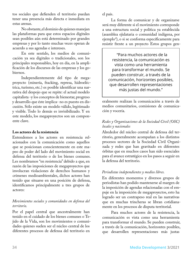tos sociales que defienden el territorio puedan tener una presencia más directa e inmediata en estas arenas.

No obstante, el dominio de quienes manejan las plataformas para que estos espacios digitales sean posibles aún está determinado por grandes empresas y por lo tanto muchas veces operan de acuerdo a sus agendas e intereses.

En este sentido, los medios de comunicación ya sea digitales o tradicionales, son los principales responsables, hoy en día, en la amplificación de los discursos de las empresas y los gobiernos.

Independientemente del tipo de megaproyecto (minería, fracking, represa, hidroeléctrica, turismo, etc.) es posible identificar una narrativa del despojo que se repite: el actual modelo capitalista -y los conceptos de bienestar, progreso y desarrollo que éste implica- no es puesto en discusión. Sólo existe un modelo válido, legitimado y visible. Todo lo demás es invisibilizado. Y en este modelo, los megaproyectos son un componente clave.

#### **Los actores de la resistencia**

Entendemos a los actores en resistencia relacionados con la comunicación como aquellos que se posicionan conscientemente en este mapeo de poder del lado del movimiento social en defensa del territorio o de los bienes comunes. Les nombramos "en resistencia" debido a que, en razón de las imposiciones de megaproyectos que involucran violaciones de derechos humanos y crímenes medioambientales, dichos actores han tenido que situarse en una posición de defensa, identificamos principalmente a tres grupos de actores:

#### *Movimientos sociales y comunidades en defensa del territorio.*

Por el papel central que ancestralmente han tenido en el cuidado de los bienes comunes o Tejido de la Vida, son los movimientos o comunidades quienes suelen ser el núcleo central de los diferentes procesos de defensa del territorio en

el país.

La forma de comunicar y de organizarse será muy diferente si el movimiento corresponde a una estructura social y política ya establecida (asamblea ejidataria o comunidad indígena, por ejemplo4 ), o si se conforma específicamente para resistir frente a un proyecto Estos grupos gen-

"Para muchos actores de la resistencia, la comunicación es vista como una herramienta para transformar el mundo. Se pueden construir, a través de la comunicación, horizontes posibles, que desarrollen representaciones más justas del mundo."

eralmente realizan la comunicación a través de medios comunitarios, comisiones de comunicación y vocería.

#### *Redes y Organizaciones de la Sociedad Civil (OSC) locales y nacionales*

Alrededor del núcleo central de defensa del territorio, generalmente acompañan a los distintos procesos sectores de la Sociedad Civil Organizada y redes que han gravitado en diferentes órbitas que en muchos casos han sido esenciales para el avance estratégico en los pasos a seguir en la defensa del territorio.

#### *Periodistas independientes y medios libres.*

En diferentes momentos y diversos grupos de periodistas han podido mantenerse al margen de la imposición de agendas relacionadas con el empuje en la imposición de megaproyectos, esto ha logrado ser un contrapeso real en las narrativas que en muchas trincheras se libran cotidianamente en los procesos de disputa territorial.

Para muchos actores de la resistencia, la comunicación es vista como una herramienta para transformar el mundo. Se pueden construir, a través de la comunicación, horizontes posibles, que desarrollen representaciones más justas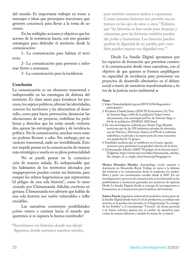del mundo. Es importante trabajar en torno a mensajes o ideas que provoquen reacciones, que generen conciencia para llevar a la toma de acciones.

En las múltiples acciones y objetivos que los actores de la resistencia hacen, son tres grandes estrategias para defender el territorio desde la comunicación:

1- La comunicación para habitar el territorio.

2- La comunicación para prevenir e informar frente a amenazas.

3- La comunicación para la incidencia.

#### **Conclusión**

La comunicación es un elemento transversal e indispensable en las estrategias de defensa del territorio. Es clave tanto para fortalecer los procesos, los sujetos políticos, afirmar las identidades, conocer los territorios y las alternativas al desarrollo, como para hacer prevención, denunciar las afectaciones de un proyecto, visibilizar los problemas y derechos que les están siendo violentados, apoyar las estrategias legales y de incidencia política. Sin la comunicación, muchas veces estas no podrían llevarse a cabo. Sin embargo, por su carácter transversal, suele ser invisibilizada. Esto nos impide pensar en la comunicación de manera más estratégica y usarla en su plena potencialidad.

No se puede pensar en la comunicación de manera aislada. Es indispensable que los habitantes de los territorios afectados por megaproyectos puedan contar sus historias, para romper los relatos hegemónicos que representan "el peligro de una sola historia", como lo mencionado por Chimamanda Adichie, escritora nigeriana. Chimamanda nos advierte que hablar de una sola historia nos vuelve vulnerables e influenciables.

Las narrativas construyen posibilidades: ¿cómo vamos a caminar hacia el mundo que queremos si ni siquiera lo hemos nombrado?

"Necesitamos ver historias donde nos identifiquemos, donde narremos nuestros miedos, pero también nuestros sueños y esperanzas. Contar nuestras historias nos permite encontrarnos en los ojos de otras y otros." Enfatiza que "las historias se han usado para despojar y calumniar, pero las historias también pueden dar poder y humanizar. Las historias pueden quebrar la dignidad de un pueblo, pero también pueden reparar esa dignidad rota."5

Desde La Sandía Digital apostamos por los espacios de formación que permitan construir la comunicación desde otras narrativas, con el objetivo de que quienes se formen amplifiquen su capacidad de incidencia para posicionar sus proyectos de desarrollo alternativo en el debate social a través de narrativas transformadoras a favor de la justicia socio-ambiental.

#### **Notas**

- 1. [https://lasandiadigital.org.mx/2019/12/06/diagnostico](https://lasandiadigital.org.mx/2019/12/06/diagnostico-participativo/)[participativo/](https://lasandiadigital.org.mx/2019/12/06/diagnostico-participativo/)
- 2. Escalona, Claudia Juárez (2018) El Economista 3.0; "Uso de Internet llega a 64% de la población" [https://www.](https://www.eleconomista.com.mx/empresas/Uso-de-Internet-llega-a-64-de-la-poblacion-20180221-0023.html) [eleconomista.com.mx/empresas/Uso-de-Internet-llega-a-](https://www.eleconomista.com.mx/empresas/Uso-de-Internet-llega-a-64-de-la-poblacion-20180221-0023.html)[64-de-la-poblacion-20180221-0023.html](https://www.eleconomista.com.mx/empresas/Uso-de-Internet-llega-a-64-de-la-poblacion-20180221-0023.html)
- 3. En una investigación realizada por Aimée Vega Montiel menciona que de las 189 industrias privadas de televisión, son de Televisa y Televisión Azteca, el 67% de la industria radiofónica es privada y la mayor parte de estas estaciones son propiedad de 15 grupos.
- 4. Entidades jurídicas que se establecen en el marco agrario mexicano para garantizar la propiedad colectiva de la tierra.
- 5. Chimamanda Adichie (2009) "El peligro de la historia única". Tedglobal. [https://www.ted.com/talks/chimamanda\\_adichie\\_](https://www.ted.com/talks/chimamanda_adichie_the_danger_of_a_single_story/transcript?language=es) [the\\_danger\\_of\\_a\\_single\\_story/transcript?language=es](https://www.ted.com/talks/chimamanda_adichie_the_danger_of_a_single_story/transcript?language=es)

**Monica Montalvo Mendez**, Antropóloga social, maestra y doctorante en Desarrollo Rural. Trabaja en torno a la defensa del territorio y la comunicación desde la academia, los medios libres y junto con movimientos sociales desde el 2007. En sus investigaciones y procesos de comunicación, se ha interesado en las problemáticas y resistencias generadas por proyectos de represas. Desde La Sandía Digital, donde se encarga de investigaciones y formaciones en comunicación para la defensa del territorio.

**Suleica Pineda**, Ingeniera industrial de profesión, forma parte de la Sandía Digital donde tiene el rol de productora, su trabajo más reciente en la producción ejecutiva es el largometraje "La energía de los Pueblos" y el cortometraje "Victoria", de forma personal y en forma colectiva apuesta por el cambio de narrativas para contar de manera diferente y amable los temas de su interés.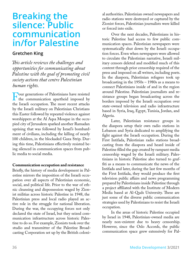## <span id="page-35-0"></span>**Breaking the silence: Public communication in/for Palestine**

#### **Gretchen King**

*This article reviews the challenges and opportunities for communicating about Palestine with the goal of promoting civil society actions that centre Palestinian human rights.*

Four generations of Palestinians have resisted<br>the communication apartheid imposed by<br>the Israeli occupation. The most recent attacks the communication apartheid imposed by the Israeli occupation. The most recent attacks by the Israeli military on Palestinian Christians this Easter followed by repeated violence against worshippers at the Al Aqsa Mosque in the occupied city of Jerusalem sparked another Ramadan uprising that was followed by Israel's bombardment of civilians, including the killing of nearly 100 children, in the blockaded Gaza Strip. During this time, Palestinians effectively resisted being silenced in communication spaces from public media to social media.

#### **Communication occupation and resistance**

Briefly, the history of media development in Palestine mirrors the imposition of the Israeli occupation over all aspects of Palestinian economic, social, and political life. Prior to the war of ethnic cleansing and dispossession waged by Zionist militias across historic Palestine in 1948, the Palestinian press and local radio played an active role in the struggle for national liberation. During the war, the occupying forces not only declared the state of Israel, but they seized communication infrastructure across historic Palestine to do so. For example, Zionists took over the studio and transmitter of the Palestine Broadcasting Corporation set up by the British coloni-

al authorities. Palestinian owned newspapers and radio stations were destroyed or captured by the Zionist forces, Palestinian journalists were killed or forced into exile.

Over the next decades, Palestinians in historic Palestine had access to few public communication spaces. Palestinian newspapers were systematically shut down by the Israeli occupation forces. Even when newspapers were allowed to circulate the Palestinian narrative, Israeli military censors deleted and modified much of this content through prior censorship required of the press and imposed on all writers, including poets. In the diaspora, Palestinian refugees took up broadcasting in the 1950s – 1980s as a means to connect Palestinians inside of and in the region around Palestine. Palestinian journalists and resistance groups began broadcasting across the borders imposed by the Israeli occupation over state-owned television and radio infrastructure based in Syria, Iraq, Egypt, Tunisia, Jordan, and Algeria.

Later, Palestinian resistance groups in the diaspora setup their own radio stations in Lebanon and Syria dedicated to amplifying the fight against the Israeli occupation. During the First Intifada, Palestinian radio stations broadcasting from the diaspora and heard inside of Palestine filled the gap created by rampant media censorship waged by the Israeli military. Palestinians in historic Palestine also turned to graffiti as a means to communicate the news of the Intifada and later, during the last few months of the First Intifada, they would produce the first television public affairs and news programming prepared by Palestinians inside Palestine through a project affiliated with the Institute of Modern Media based at Al-Quds University. These are just some of the diverse public communication strategies used by Palestinians to resist the Israeli occupation.

In the areas of historic Palestine occupied by Israel in 1948, Palestinian-owned media are nearly non-existent due to heavy censorship. However, since the Oslo Accords, the public communication space grew extensively for Pal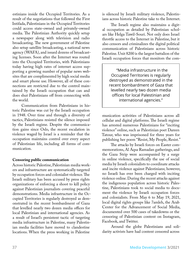estinians inside the Occupied Territories. As a result of the negotiations that followed the First Intifada, Palestinians in the Occupied Territories could access state-owned and privately-owned media. The Palestinian Authority quickly setup a newspaper along with television and radio broadcasting. The new government of Palestine also setup satellite broadcasting, a national news agency (WAFA), and issued dozens of broadcasting licenses. Soon after the Internet was routed into the Occupied Territories, with Palestinians today having high rates of internet access supporting a growing number of popular news websites that are complimented by high social media and smart phone use. However, all of these connections are restricted due to the control maintained by the Israeli occupation that can and does shut Palestinians off from connecting with the world.

Communication from Palestinians in historic Palestine was cut by the Israeli occupation in 1948. Over time and through a diversity of tactics, Palestinians resisted the silence imposed by the Israeli regime. Despite the communication gains since Oslo, the recent escalation in violence waged by Israel is a reminder that the occupation maintains control over every aspect of Palestinian life, including all forms of communication.

#### **Censoring public communication**

Across historic Palestine, Palestinian media workers and infrastructure are systematically targeted by occupation forces and colonialist violence. The Israeli military has been accused by press rights organizations of enforcing a shoot to kill policy against Palestinian journalists covering peaceful demonstrations. Media infrastructure in the Occupied Territories is regularly destroyed as demonstrated in the recent bombardment of Gaza that levelled nearly two dozen media offices for local Palestinian and international agencies. As a result of Israel's persistent tactic of targeting media infrastructure in Palestine, many Palestinian media facilities have moved to clandestine locations. When the press working in Palestine

is silenced by Israeli military violence, Palestinians across historic Palestine take to the Internet.

The Israeli regime also maintains a digital occupation as detailed by Palestinian scholars like Helga Tawil-Souri. Not only does Israel throttle access to the Internet in Palestine, but it also censors and criminalizes the digital political communication of Palestinians across historic Palestine. Unit 8200 is the largest battalion of the Israeli occupation forces that monitors the com-

"Media infrastructure in the Occupied Territories is regularly destroyed as demonstrated in the recent bombardment of Gaza that levelled nearly two dozen media offices for local Palestinian and international agencies."

munication activities of Palestinians across all cellular and digital platforms. The Israeli regime has arrested numerous Palestinians for "inciting violence" online, such as Palestinian poet Dareen Tatour, who was imprisoned for three years for publishing her poem "Resist, My People, Resist."

The attacks by Israeli forces on Easter commemorations, Al Aqsa Ramadan gatherings, and the Gaza Strip were accompanied by a surge in online violence, specifically the use of social media by Israeli colonialists to coordinate attacks and incite violence against Palestinians; however, no Israeli has ever been charged with inciting violence online. During the recent attacks against the indigenous population across historic Palestine, Palestinians took to social media to document the violence by Israeli occupation forces and colonialists. From May 6 to May 19, 2021, local digital rights groups like 7amleh, the Arab Center for the Advancement of Social Media, documented over 500 cases of takedowns or the censoring of Palestinian content on Instagram, Facebook, and Twitter.

Around the globe Palestinians and solidarity activists have had content censored across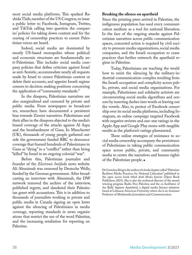most social media platforms. This sparked Rashida Tlaib, member of the US Congress, to issue a public letter to Facebook, Instagram, Twitter, and TikTok calling into question the companies' policies for taking down content and for the ceasing of censorship practices to ensure Palestinian voices are heard.

Indeed, social media are dominated by mostly US-based monopolies whose political and economic structures are fundamentally anti-Palestinian. This includes social media company policies that define criticism against Israel as anti-Semitic, accommodate nearly all requests made by Israel to censor Palestinian content or delete their accounts, and appoint Israeli regime censors to decision making positions concerning the application of "community standards."

In the diaspora, Palestinian narratives are also marginalized and censored by private and public media. From newspapers to broadcasters, researchers have documented a persistent bias towards Zionist narratives. Palestinians and their allies in the diaspora objected to the media's biased coverage of the attacks against Al Aqsa and the bombardment of Gaza. In Manchester (UK), thousands of young people gathered outside the government funded BBC to denounce coverage that framed hundreds of Palestinians in Gaza as "dying" in a "conflict" rather than being "killed" by Israel in an ongoing colonial "war".

Before this, Palestinian journalist and founder of the *Electronic Intifada* news website Ali Abunimah was censored by Deutsche Welle, funded by the German government. After broadcasting an interview with Abunimah, the DW network removed the archive of the interview, published regrets, and slandered their Palestinian guest with accusations. This is in addition to thousands of journalists working in private and public media in Canada signing an open letter against the silencing of Palestinians in media coverage, reporting standards in news organizations that restrict the use of the word Palestine, and the increasing retaliation for reporting on Palestine.

#### **Breaking the silence on apartheid**

Since the printing press arrived in Palestine, the indigenous population has used every communication medium as a tool for national liberation. In the face of the ongoing attacks against Palestinian narratives across public communication spaces, concerted action is required by civil society to pressure media organizations, social media companies, and the Israeli occupation to cease practices that further entrench the apartheid regime in Palestine.

Today, Palestinians are teaching the world how to resist the silencing by the military-industrial-communication-complex resulting from the Israeli occupation and complicity across public, private, and social media organizations. For example, Palestinians and solidarity activists are circumventing social media algorithms and censors by inserting dashes into words or leaving out the vowels. Also, in protest of Facebook censorship over its social media platforms, including Instagram, an online campaign targeted Facebook with negative reviews and one-star ratings in the Apple App and Google Play stores with tangible results as the platform's ratings plummeted.

These online strategies of resistance to social media censorship accompany the persistence of Palestinians in taking public communication space across public, private, and community media to centre the narratives and human rights of the Palestinian people.

Dr Gretchen King is the author of a book chapter called "[Palestine:](https://www.openbookpublishers.com/10.11647/obp.0238.03.pdf)  [Resilient Media Practices for National Liberation"](https://www.openbookpublishers.com/10.11647/obp.0238.03.pdf) published in the open access book titled *Arab Media Systems* (Open Book Publishers, 2021). She is also the technical director of the awardwinning program [Radio Free Palestine](http://www.radiofreepalestine.org/) and the co-facilitator of the [Rally Against Apartheid](http://imrt.lau.edu.lb/rally-against-apartheid), a digital media literacy initiative based at Lebanese American University where she is an Assistant Professor of Multimedia Journalism and Communication.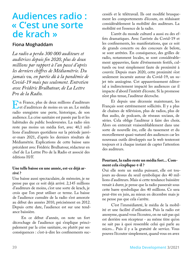## <span id="page-38-0"></span>**Audiences radio : « C'est une sorte de krach »**

#### **Fiona Moghaddam**

*La radio a perdu 300 000 auditeurs et auditrices depuis fin 2020, plus de deux millions par rapport à l'an passé d'après les derniers chiffres de Médiamétrie. Du jamais vu, en partie dû à la pandémie de Covid-19 mais pas seulement. Entretien avec Frédéric Brulhatour, de La Lettre Pro de la Radio.*

En France, plus de deux millions d'auditeurs<br>
et d'auditrices de moins en un an. Le média<br>
radio enregistre une perte historique de son et d'auditrices de moins en un an. Le média radio enregistre une perte, historique, de son audience. La crise sanitaire est passée par là et les habitudes du public bouleversées. La radio n'en reste pas moins un média fort, avec 40,1 millions d'auditeurs quotidiens sur la période janvier-mars 2021, d'après les derniers résultats de Médiamétrie. Explications de cette baisse sans précédent avec Frédéric Brulhatour, rédacteur en chef de La Lettre Pro de la Radio et associé des éditions H/F.

#### **Une telle baisse en une année, est-ce déjà arrivé ?**

Une baisse aussi spectaculaire, de mémoire, je ne pense pas que ce soit déjà arrivé. 2,145 millions d'auditeurs de moins, c'est une sorte de krach, je crois que l'on peut utiliser ce terme. La baisse de l'audience cumulée de la radio s'est amorcée au début des années 2010, précisément en 2012. Depuis cette date, l'audience est sur une tendance baissière.

En ce début d'année, on note un fort décrochage de l'audience qui s'explique principalement par la crise sanitaire, ou plutôt par ses conséquences : c'est-à-dire les confinements successifs et le télétravail. Ils ont modifié brusquement les comportements d'écoute, en réduisant considérablement la mobilité des auditeurs. La mobilité est l'essence de la radio.

L'arrêt du monde culturel a aussi eu des effets dramatiques. Avec l'arrivée du Covid-19 et les confinements, les manifestations, que ce soit de grands concerts ou des concours de belote, se sont arrêtées. En conséquence, des grilles de radio, notamment locales, se sont considérablement appauvries, faute d'événements festifs, culturels ou tout simplement faute de proximité à couvrir. Depuis mars 2020, cette proximité s'est seulement incarnée autour du Covid-19, un sujet très anxiogène. Cet appauvrissement éditorial a indirectement impacté les audiences car il impacte d'abord l'intérêt d'écoute. Si la promesse n'est plus tenue, l'auditeur décroche.

Et depuis une décennie maintenant, les Français sont extrêmement sollicités. Il y a plus de chaînes de télévision, plus de radios, plus de flux audio, de podcasts, de réseaux sociaux, de séries. Cela oblige l'auditeur à faire des choix. Alors on entrerait vraisemblablement dans une sorte de nouvelle ère, celle du tassement et du morcellement quasi-naturel des audiences car les nouveaux outils développés sur le web tenteront toujours et à chaque instant de capter l'attention des auditeurs.

#### **Pourtant, la radio reste un média fort... Comment cela s'explique-t-il ?**

Oui elle reste un média puissant, elle est toujours au-dessus du seuil symbolique des 40 millions d'auditeurs. Mais si cette tendance baissière venait à durer, je pense que la radio passerait sous cette barre symbolique des 40 millions. Ce sera peut-être en juin, au mieux en décembre mais je ne pense pas que cela s'arrête.

C'est l'immédiateté, le média de la mobilité et une facilité d'utilisation. Puis la radio est anonyme, quand vous l'écoutez, on ne sait pas qui est derrière son récepteur - au même titre qu'on ne sait pas à quoi ressemble celui qui parle au micro... Puis il y a la gratuité de service. Vous pouvez l'écouter simplement, quand vous en avez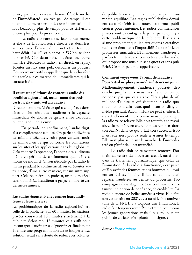envie, quand vous en avez besoin. C'est le média de l'immédiateté : en très peu de temps, il est possible de mettre en ondes une information, il faut beaucoup plus de temps pour la télévision, encore plus pour la presse écrite.

La radio a encore de sérieux atouts même si elle a de la concurrence directe ces dernières années, avec l'arrivée d'internet et surtout du haut débit. La 4G et bientôt la 5G bousculent le marché. Car désormais, il existe une autre manière d'écouter la radio : en direct, en replay, écouter un flux sans pub, découvrir un podcast. Ces nouveaux outils rappellent que la radio n'est plus seule sur ce marché de l'immédiateté qui la caractérisait.

#### **Il existe une pléthore de contenus audio disponibles aujourd'hui, notamment des podcasts. Cela « nuit »-il à la radio ?**

Directement non. Mais ce qui a changé ces dernières années, c'est que l'auditeur a la capacité immédiate de choisir ce qu'il a envie d'écouter, où et quand il en a envie.

En période de confinement, l'audio digital a complètement explosé. On parle en dizaines de millions d'écoutes, voire pour certains mois de milliard en ce qui concerne les connexions sur les sites et les applications dans leur globalité. Cela montre l'appétence, l'appétit des auditeurs, même en période de confinement quand il y a moins de mobilité. Si l'on n'écoute pas la radio le matin pendant le confinement, on va écouter autre chose, d'une autre manière, sur un autre support. Cela peut-être un podcast, un flux musical sans publicité... L'auditeur a gagné en liberté ces dernières années.

#### **Les radios écoutent-elles encore leurs auditeurs et leurs envies ?**

La problématique de la radio aujourd'hui est celle de la publicité. Sur 60 minutes, les stations privées consacrent 15 minutes strictement à la publicité. Selon moi, 15 minutes, cela suffit pour encourager l'auditeur à déguerpir et finalement à rendre une programmation assez indigeste. La solution serait sans doute de réduire les volumes

de publicité en augmentant les prix pour trouver un équilibre. Les régies publicitaires devraient aussi réfléchir à de nouvelles formes publicitaires pour l'antenne. Les radios commerciales privées sont davantage à la peine parce qu'il y a cette problématique de la publicité. Il y a aussi une problématique liée aux quotas : certaines radios seraient dans l'impossibilité de tenir leurs promesses musicales. Et finalement, l'auditeur a parfois tout intérêt à se connecter à un flux audio qui propose une musique sans quota et sans publicité. C'est un peu plus appétissant.

#### **Comment voyez-vous l'avenir de la radio ? Pourrait-il ne plus y avoir d'auditeurs un jour ?**

Mathématiquement, l'audience pourrait descendre jusqu'à zéro mais très franchement je ne pense pas que cela arrive. Il y a plus de 40 millions d'auditeurs qui écoutent la radio quotidiennement, cela reste, quoi qu'on en dise, un média puissant. Aucun média ne peut rivaliser. Il y a actuellement une secousse mais je pense que la radio va se relever. Elle doit toutefois se ressaisir. Cela peut être en cherchant des réponses dans son ADN, dans ce qui a fait son succès. Désormais, elle n'est plus la seule à assurer le tempo. Elle n'est plus seule sur le marché de l'immédiateté ou plutôt de l'instantanéité.

La radio doit se réinventer, remettre l'humain au centre du processus créatif, aussi bien dans le traitement journalistique, que celui de l'animation. Si la radio a fonctionné, c'est parce qu'il y avait des femmes et des hommes qui avaient un réel savoir-faire. Il faut sans doute aussi replacer l'auditeur au centre du processus, l'accompagner davantage, tout en continuant à instaurer une notion de confiance, de crédibilité. La radio a encore de belles années à vivre. Elle fête son centenaire en 2021, c'est aussi le 40e anniversaire de la FM. Il y a toujours une émulation, la radio fait toujours rêver. Peut-être un peu moins les jeunes générations mais il y a toujours un public de curieux, c'est plutôt bon signe.

#### *Source : [France culture](https://www.franceculture.fr/medias/audiences-radio-cest-une-sorte-de-krach?utm_medium=Social&utm_source=Facebook&fbclid=IwAR2DNUEerWeBeEWoucyhMwFhGxLttudhBGzWeBmgW98037rpTjPErNQB3-M#Echobox=1618729597
)*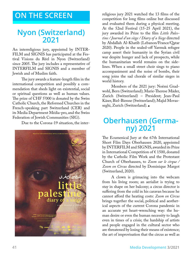## <span id="page-40-0"></span>**ON THE SCREEN**

## **Nyon (Switzerland) 2021**

An interreligious jury, appointed by [INTER-](http://www.inter-film.org/)[FILM](http://www.inter-film.org/) and [SIGNIS](http://www.signis.net/) has participated at the Festival Visions du Réel in Nyon (Switzerland) since 2005. The jury includes a representative of INTERFILM and SIGNIS and a member of Jewish and of Muslim faith.

The jury awards a feature-length film in the international competition and possibly a commendation that sheds light on existential, social or spiritual questions as well as human values. The prize of CHF 5'000 is donated by the Swiss Catholic Church, the Reformed Churches in the French-speaking part Switzerland (CER) and its Media Department Média-pro, and the Swiss Federation of Jewish Communities (SIG).

Due to the Corona-19 situation, the inter-



religious jury 2021 watched the 13 films of the competition for long films online but discussed and evaluated them during a physical meeting. At the 52nd Festival (15-25 April 2021), the jury awarded its Prize to the film *Little Palestine / Journal d'un siège / Diary of a Siege* directed by Abdallah Al-Khatib (Lebanon/France/Qatar 2020). People in the sealed-off Yarmuk refugee camp assert their humanity in the Syrian civil war despite hunger and lack of prospects, while the humanitarian world remains on the sidelines. When a small street choir sings to piano accompaniment and the noise of bombs, their song joins the sad chorale of similar sieges in world history.

Members of the 2021 jury: Noëmi Gradwohl, Bern (Switzerland); Marie-Therese Mäder, Zurich (Switzerland) – President; Jean-Paul Käser, Biel-Bienne (Switzerland); Majid Movasseghi, Zurich (Switzerland).

## **Oberhausen (Germa ny) 2021**

The Ecumenical Jury at the 67th International Short Film Days Oberhausen 2020, appointed by INTERFILM and SIGNIS, awarded its Prize in International Competition of  $\epsilon$  1500, donated by the Catholic Film Work and the Protestant Church of Oberhausen, to *Zoom sur le cirque / Zoom on Circus* directed by Dominique Margot (Switzerland, 2020).

A clown is grimacing into the webcam from his living room; an aerialist is trying to stay in shape on her balcony; a circus director is suffering from the cold in his caravan because he cannot afford the heating costs: *Zoom on Circus*  brings together the social, political and aesthetical aspects of the current Corona pandemic in an accurate yet heart-wrenching way: the human desire or even the human necessity to laugh even in times of a crisis; the hardship of artists and people engaged in the cultural sector who are threatened by losing their means of existence; the art of improvisation that the circus as well as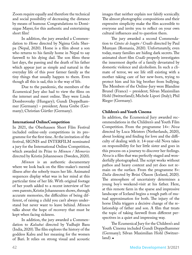Zoom require equally and therefore the technical and social possibility of decreasing the distance by means of humour. Congratulations to Dominique Mayer, for this authentic and entertaining short film!

In addition, the jury awarded a Commendation to *Home* directed by Ngima Gelu Sherpa (Nepal, 2020). Home is a film about a son who returns to his family home in Nepal to say farewell to his dying dad. The son films these last days, the passing and the death of his father which appear just as simple and natural in the everyday life of this poor farmer family as the tiny things that usually happen to them. Even though all this is sad, this is the way of life.

Due to the pandemic, the members of the Ecumenical Jury also had to view the films on the internet and meet online. They were Linda Dombrovszky (Hungary); Gundi Doppelhammer (Germany) – president; Anna Grebe (Germany); Christian Gürtler (Germany).

#### **International OnlineCompetition**

In 2021, the Oberhausen Short Film Festival included online-only competitions in its programme for the first time. At the invitation of the festival, SIGNIS and INTERFILM nominated a jury for the International Online Competition, which awarded its Prize to *Minnen / Memories* directed by Kristin Johannessen (Sweden, 2020).

*Minnen* is an authentic documentary where we look back on the film-maker's mental illness after she soberly traces her life. Animated sequences display what was in her mind at this particular time of her life. With original footage of her youth added to a recent interview of her own parents, Kristin Johannessen shows, through accurate memories, the difficulties of being different, of raising a child you can't always understand but never want to leave behind. *Minnen* talks about the hope of recovery that must be kept when facing sickness.

In addition, the jury awarded a Commendation to *Kalsubai* directed by Yudhajit Basu (India, 2020). The film explores the history of the goddess Kalsu and her meaning for the women of Bari. It relies on strong visual and acoustic

images that neither explain nor falsify scenically. The almost photographic compositions and their expressive simplicity make the film accessible to everyone and invite you to reflect on your own cultural influences and to question them.

The jury awarded a second Commendation to *Cântec de leagăn / Cradle* directed by Paul Mureșan (Romania, 2020). Unfortunately, even today, many families are hiding dark secrets. The animated short film *Cradle* properly investigates the innermost depths of a family devastated by domestic violence and alcoholism. In such a climate of terror, we see life still existing with a mother taking care of her new-born, trying to protect him and his big brother from bullying. The Members of the Online-Jury were Blandine Brunel (France) – president; Silvan Maximilian Hohl (Switzerland); Michele Lipori (Italy); Phil Rieger (Germany).

#### **Children's and Youth Cinema**

In addition, the Ecumenical Jury awarded recommendations in the Children's and Youth Film Competition. From the programme 14+: *Nova* directed by Luca Meisters (Netherlands, 2020), about looking and finding for love and the difficulty of dealing with it. 14-year-old Nova takes on responsibility for her little sister and goes in this process on a journey to discover her feelings. *Nova* is a film that was perfectly staged and wonderfully photographed. The script works without pathos and heavy content and yet does not remain on the surface. From the programme 8+: *Dalía* directed by Brúsi Ólason (Iceland, 2020). The atmosphere of uncertainty determines a young boy's weekend-visit at his father. Here, at this remote farm in the sparse and impressive landscape of Iceland begins a rough path of mutual approximation for both. The injury of the horse Dalía triggers a decisive change of the relationship of father and son. A film that treats the topic of taking farewell from different perspectives in a quiet and impressing way.

The Ecumenical Jury for the Children's and Youth Cinema included Gundi Doppelhammer (Germany); Silvan Maximilian Hohl (Switzer $land).$